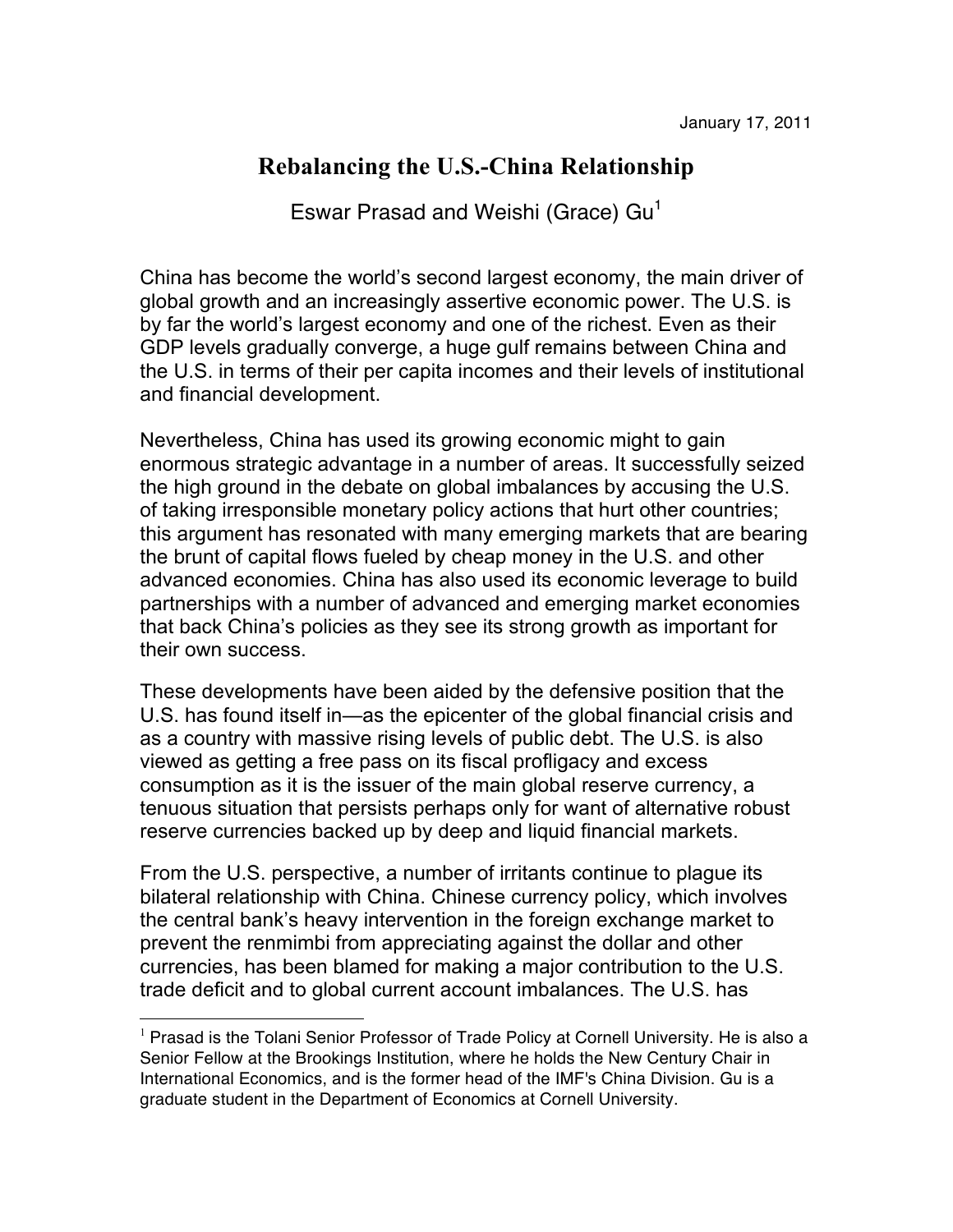## **Rebalancing the U.S.-China Relationship**

Eswar Prasad and Weishi (Grace)  $Gu<sup>1</sup>$ 

China has become the world's second largest economy, the main driver of global growth and an increasingly assertive economic power. The U.S. is by far the world's largest economy and one of the richest. Even as their GDP levels gradually converge, a huge gulf remains between China and the U.S. in terms of their per capita incomes and their levels of institutional and financial development.

Nevertheless, China has used its growing economic might to gain enormous strategic advantage in a number of areas. It successfully seized the high ground in the debate on global imbalances by accusing the U.S. of taking irresponsible monetary policy actions that hurt other countries; this argument has resonated with many emerging markets that are bearing the brunt of capital flows fueled by cheap money in the U.S. and other advanced economies. China has also used its economic leverage to build partnerships with a number of advanced and emerging market economies that back China's policies as they see its strong growth as important for their own success.

These developments have been aided by the defensive position that the U.S. has found itself in—as the epicenter of the global financial crisis and as a country with massive rising levels of public debt. The U.S. is also viewed as getting a free pass on its fiscal profligacy and excess consumption as it is the issuer of the main global reserve currency, a tenuous situation that persists perhaps only for want of alternative robust reserve currencies backed up by deep and liquid financial markets.

From the U.S. perspective, a number of irritants continue to plague its bilateral relationship with China. Chinese currency policy, which involves the central bank's heavy intervention in the foreign exchange market to prevent the renmimbi from appreciating against the dollar and other currencies, has been blamed for making a major contribution to the U.S. trade deficit and to global current account imbalances. The U.S. has

 $1$  Prasad is the Tolani Senior Professor of Trade Policy at Cornell University. He is also a Senior Fellow at the Brookings Institution, where he holds the New Century Chair in International Economics, and is the former head of the IMF's China Division. Gu is a graduate student in the Department of Economics at Cornell University.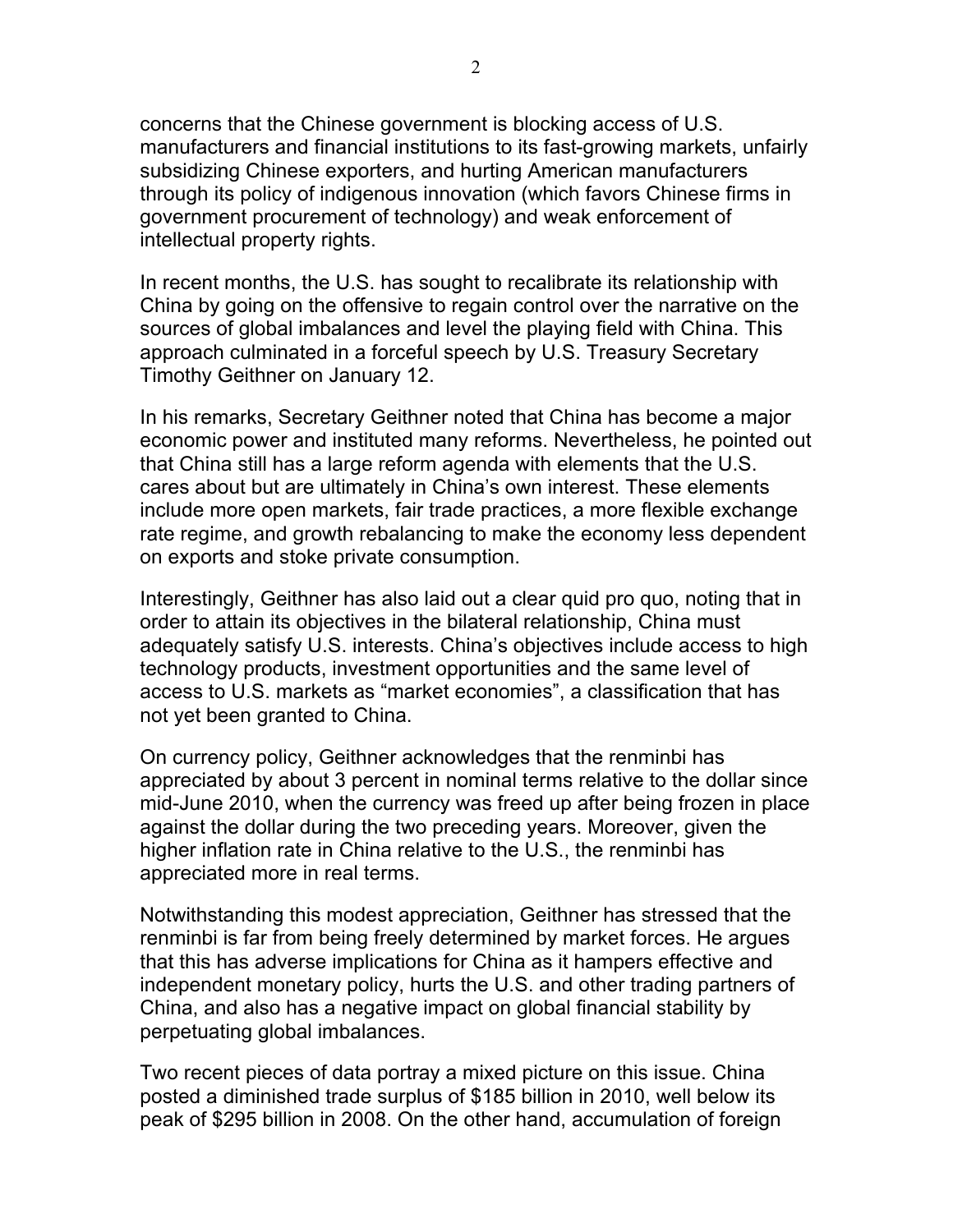concerns that the Chinese government is blocking access of U.S. manufacturers and financial institutions to its fast-growing markets, unfairly subsidizing Chinese exporters, and hurting American manufacturers through its policy of indigenous innovation (which favors Chinese firms in government procurement of technology) and weak enforcement of intellectual property rights.

In recent months, the U.S. has sought to recalibrate its relationship with China by going on the offensive to regain control over the narrative on the sources of global imbalances and level the playing field with China. This approach culminated in a forceful speech by U.S. Treasury Secretary Timothy Geithner on January 12.

In his remarks, Secretary Geithner noted that China has become a major economic power and instituted many reforms. Nevertheless, he pointed out that China still has a large reform agenda with elements that the U.S. cares about but are ultimately in China's own interest. These elements include more open markets, fair trade practices, a more flexible exchange rate regime, and growth rebalancing to make the economy less dependent on exports and stoke private consumption.

Interestingly, Geithner has also laid out a clear quid pro quo, noting that in order to attain its objectives in the bilateral relationship, China must adequately satisfy U.S. interests. China's objectives include access to high technology products, investment opportunities and the same level of access to U.S. markets as "market economies", a classification that has not yet been granted to China.

On currency policy, Geithner acknowledges that the renminbi has appreciated by about 3 percent in nominal terms relative to the dollar since mid-June 2010, when the currency was freed up after being frozen in place against the dollar during the two preceding years. Moreover, given the higher inflation rate in China relative to the U.S., the renminbi has appreciated more in real terms.

Notwithstanding this modest appreciation, Geithner has stressed that the renminbi is far from being freely determined by market forces. He argues that this has adverse implications for China as it hampers effective and independent monetary policy, hurts the U.S. and other trading partners of China, and also has a negative impact on global financial stability by perpetuating global imbalances.

Two recent pieces of data portray a mixed picture on this issue. China posted a diminished trade surplus of \$185 billion in 2010, well below its peak of \$295 billion in 2008. On the other hand, accumulation of foreign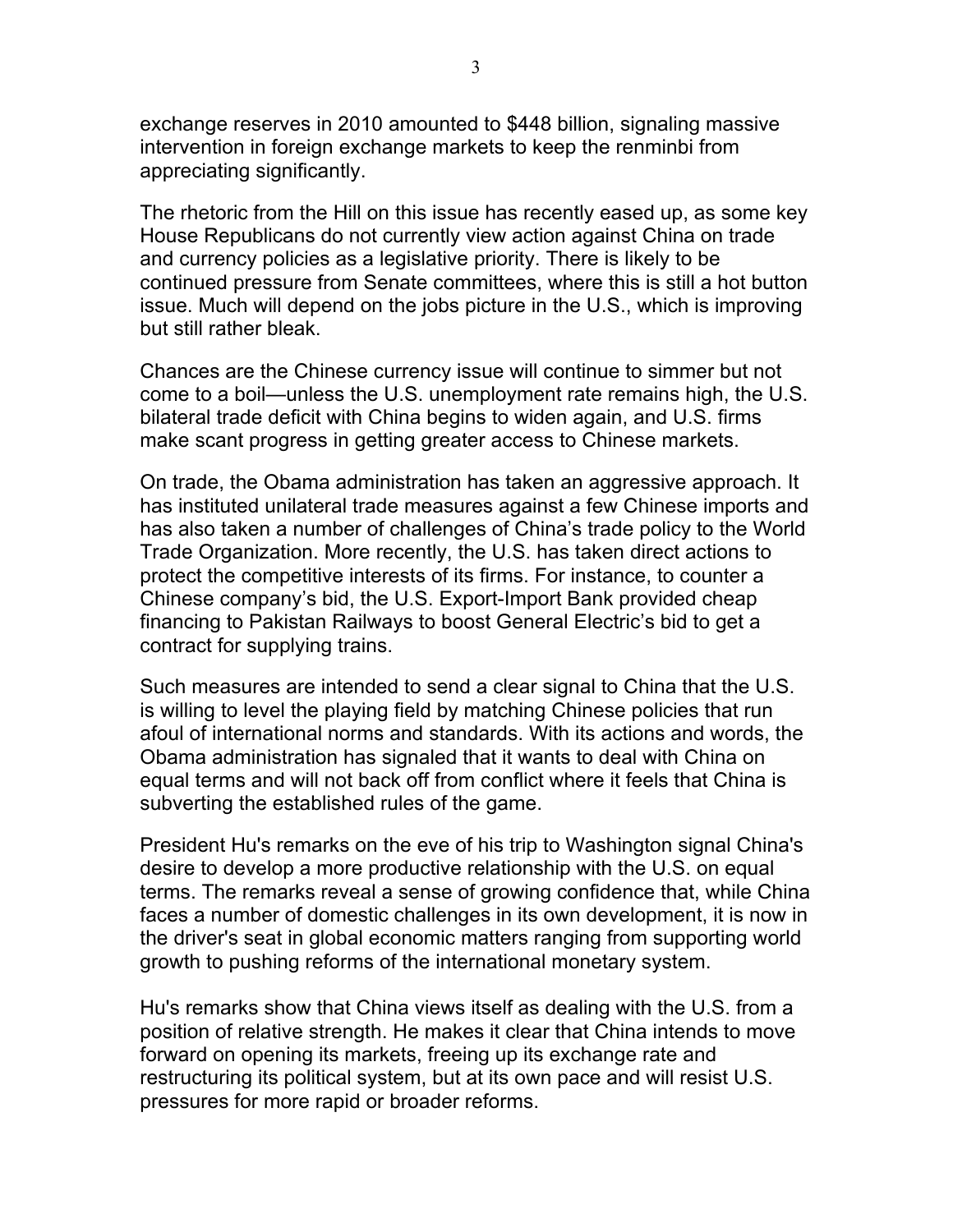exchange reserves in 2010 amounted to \$448 billion, signaling massive intervention in foreign exchange markets to keep the renminbi from appreciating significantly.

The rhetoric from the Hill on this issue has recently eased up, as some key House Republicans do not currently view action against China on trade and currency policies as a legislative priority. There is likely to be continued pressure from Senate committees, where this is still a hot button issue. Much will depend on the jobs picture in the U.S., which is improving but still rather bleak.

Chances are the Chinese currency issue will continue to simmer but not come to a boil—unless the U.S. unemployment rate remains high, the U.S. bilateral trade deficit with China begins to widen again, and U.S. firms make scant progress in getting greater access to Chinese markets.

On trade, the Obama administration has taken an aggressive approach. It has instituted unilateral trade measures against a few Chinese imports and has also taken a number of challenges of China's trade policy to the World Trade Organization. More recently, the U.S. has taken direct actions to protect the competitive interests of its firms. For instance, to counter a Chinese company's bid, the U.S. Export-Import Bank provided cheap financing to Pakistan Railways to boost General Electric's bid to get a contract for supplying trains.

Such measures are intended to send a clear signal to China that the U.S. is willing to level the playing field by matching Chinese policies that run afoul of international norms and standards. With its actions and words, the Obama administration has signaled that it wants to deal with China on equal terms and will not back off from conflict where it feels that China is subverting the established rules of the game.

President Hu's remarks on the eve of his trip to Washington signal China's desire to develop a more productive relationship with the U.S. on equal terms. The remarks reveal a sense of growing confidence that, while China faces a number of domestic challenges in its own development, it is now in the driver's seat in global economic matters ranging from supporting world growth to pushing reforms of the international monetary system.

Hu's remarks show that China views itself as dealing with the U.S. from a position of relative strength. He makes it clear that China intends to move forward on opening its markets, freeing up its exchange rate and restructuring its political system, but at its own pace and will resist U.S. pressures for more rapid or broader reforms.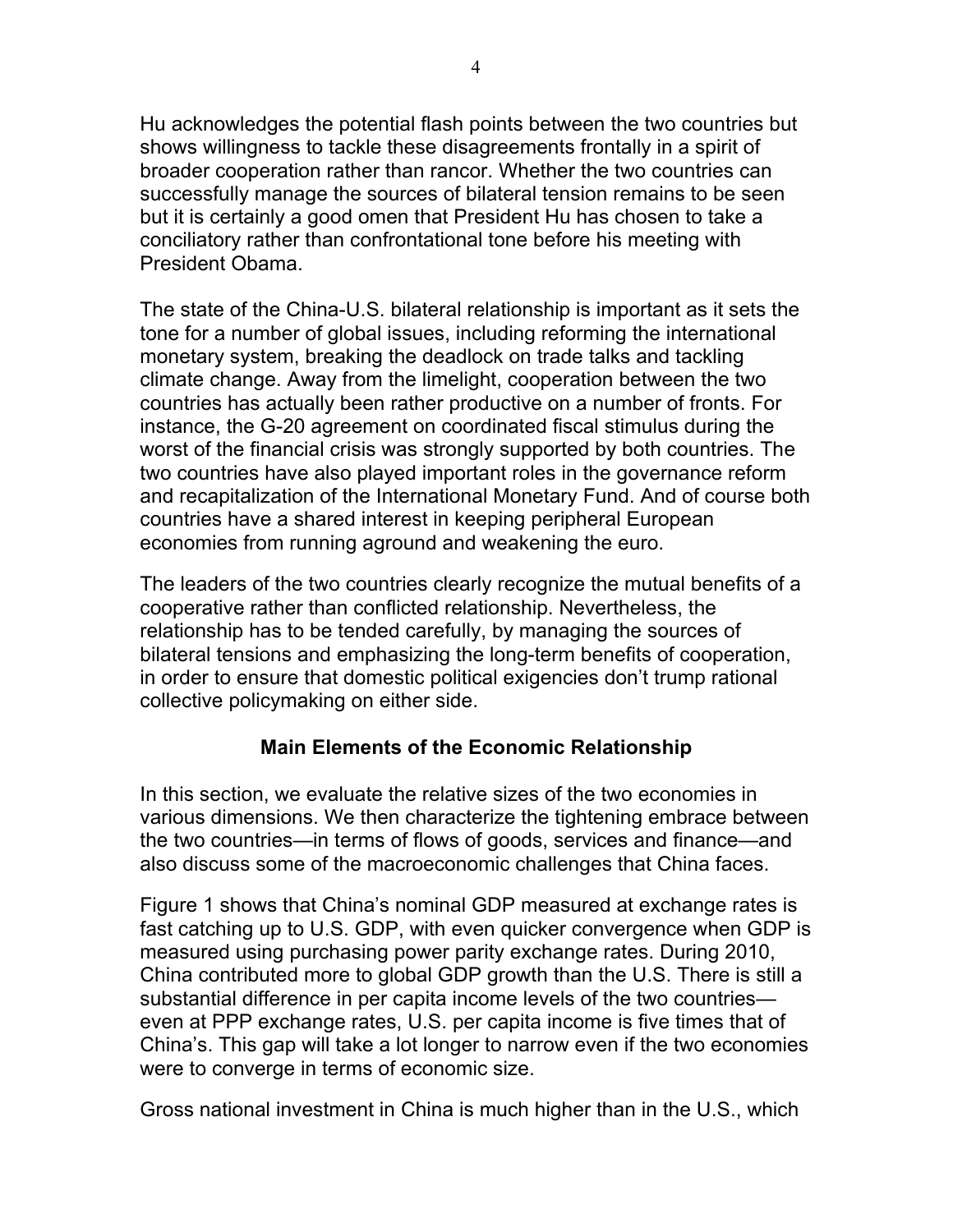Hu acknowledges the potential flash points between the two countries but shows willingness to tackle these disagreements frontally in a spirit of broader cooperation rather than rancor. Whether the two countries can successfully manage the sources of bilateral tension remains to be seen but it is certainly a good omen that President Hu has chosen to take a conciliatory rather than confrontational tone before his meeting with President Obama.

The state of the China-U.S. bilateral relationship is important as it sets the tone for a number of global issues, including reforming the international monetary system, breaking the deadlock on trade talks and tackling climate change. Away from the limelight, cooperation between the two countries has actually been rather productive on a number of fronts. For instance, the G-20 agreement on coordinated fiscal stimulus during the worst of the financial crisis was strongly supported by both countries. The two countries have also played important roles in the governance reform and recapitalization of the International Monetary Fund. And of course both countries have a shared interest in keeping peripheral European economies from running aground and weakening the euro.

The leaders of the two countries clearly recognize the mutual benefits of a cooperative rather than conflicted relationship. Nevertheless, the relationship has to be tended carefully, by managing the sources of bilateral tensions and emphasizing the long-term benefits of cooperation, in order to ensure that domestic political exigencies don't trump rational collective policymaking on either side.

#### **Main Elements of the Economic Relationship**

In this section, we evaluate the relative sizes of the two economies in various dimensions. We then characterize the tightening embrace between the two countries—in terms of flows of goods, services and finance—and also discuss some of the macroeconomic challenges that China faces.

Figure 1 shows that China's nominal GDP measured at exchange rates is fast catching up to U.S. GDP, with even quicker convergence when GDP is measured using purchasing power parity exchange rates. During 2010, China contributed more to global GDP growth than the U.S. There is still a substantial difference in per capita income levels of the two countries even at PPP exchange rates, U.S. per capita income is five times that of China's. This gap will take a lot longer to narrow even if the two economies were to converge in terms of economic size.

Gross national investment in China is much higher than in the U.S., which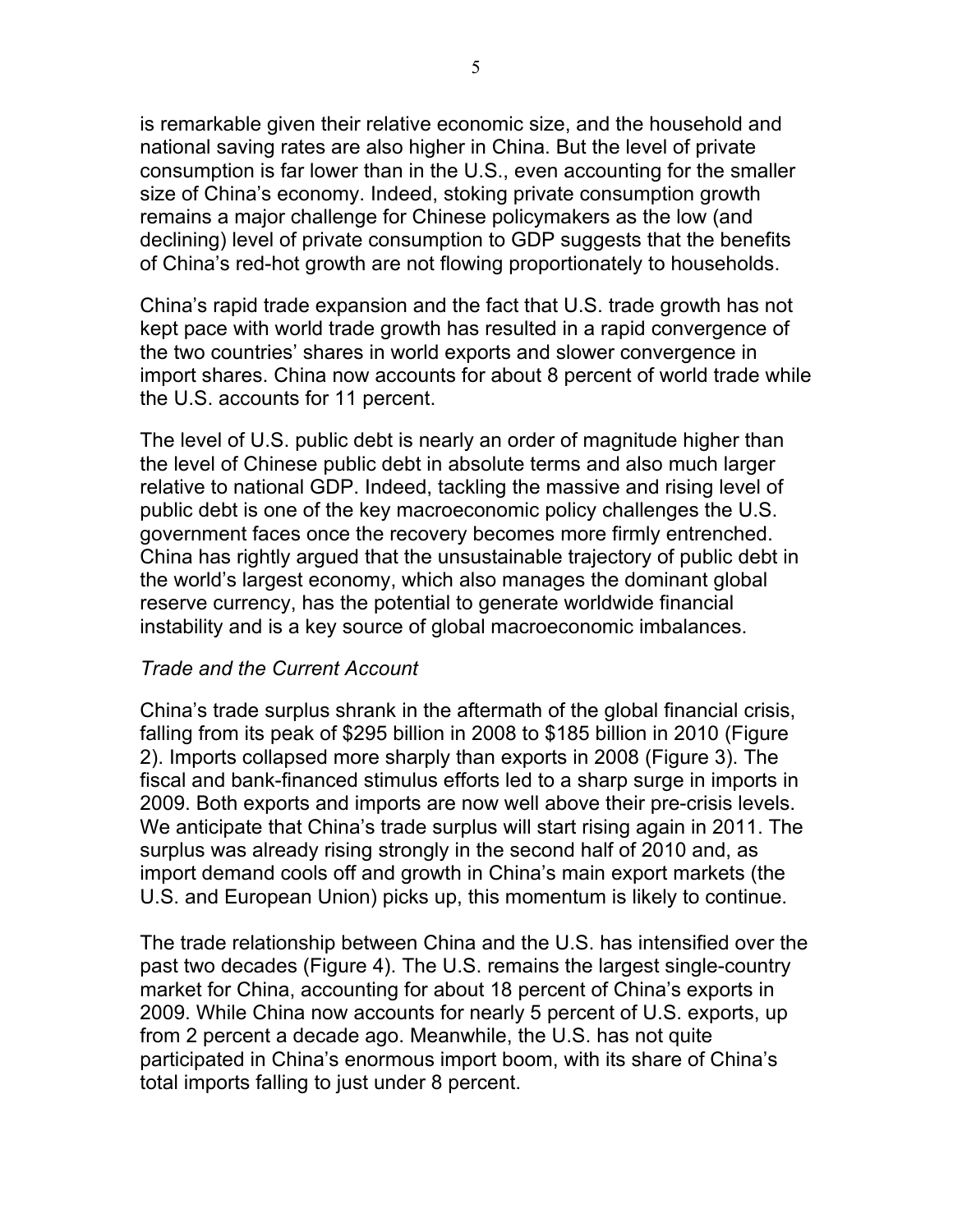is remarkable given their relative economic size, and the household and national saving rates are also higher in China. But the level of private consumption is far lower than in the U.S., even accounting for the smaller size of China's economy. Indeed, stoking private consumption growth remains a major challenge for Chinese policymakers as the low (and declining) level of private consumption to GDP suggests that the benefits of China's red-hot growth are not flowing proportionately to households.

China's rapid trade expansion and the fact that U.S. trade growth has not kept pace with world trade growth has resulted in a rapid convergence of the two countries' shares in world exports and slower convergence in import shares. China now accounts for about 8 percent of world trade while the U.S. accounts for 11 percent.

The level of U.S. public debt is nearly an order of magnitude higher than the level of Chinese public debt in absolute terms and also much larger relative to national GDP. Indeed, tackling the massive and rising level of public debt is one of the key macroeconomic policy challenges the U.S. government faces once the recovery becomes more firmly entrenched. China has rightly argued that the unsustainable trajectory of public debt in the world's largest economy, which also manages the dominant global reserve currency, has the potential to generate worldwide financial instability and is a key source of global macroeconomic imbalances.

#### *Trade and the Current Account*

China's trade surplus shrank in the aftermath of the global financial crisis, falling from its peak of \$295 billion in 2008 to \$185 billion in 2010 (Figure 2). Imports collapsed more sharply than exports in 2008 (Figure 3). The fiscal and bank-financed stimulus efforts led to a sharp surge in imports in 2009. Both exports and imports are now well above their pre-crisis levels. We anticipate that China's trade surplus will start rising again in 2011. The surplus was already rising strongly in the second half of 2010 and, as import demand cools off and growth in China's main export markets (the U.S. and European Union) picks up, this momentum is likely to continue.

The trade relationship between China and the U.S. has intensified over the past two decades (Figure 4). The U.S. remains the largest single-country market for China, accounting for about 18 percent of China's exports in 2009. While China now accounts for nearly 5 percent of U.S. exports, up from 2 percent a decade ago. Meanwhile, the U.S. has not quite participated in China's enormous import boom, with its share of China's total imports falling to just under 8 percent.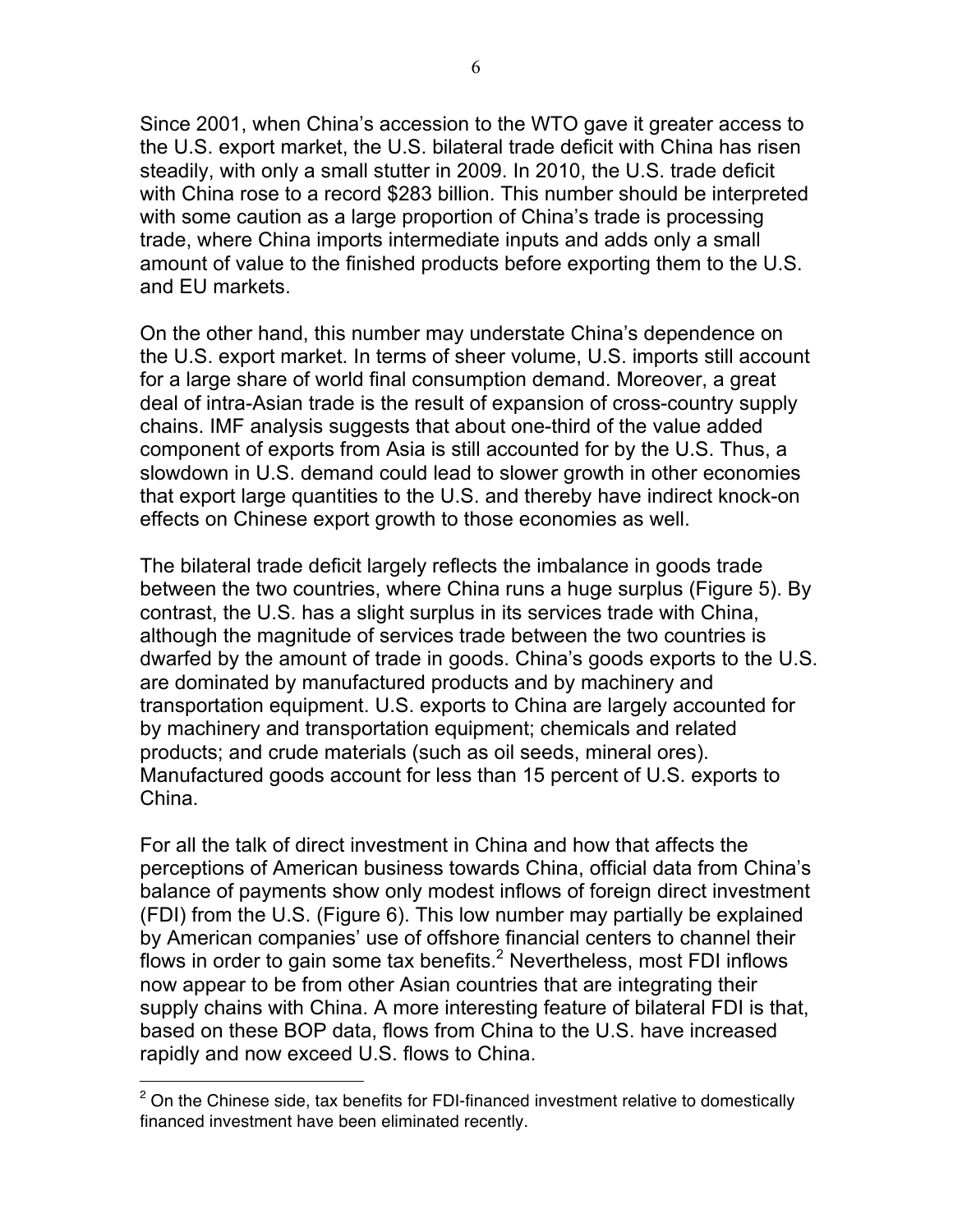Since 2001, when China's accession to the WTO gave it greater access to the U.S. export market, the U.S. bilateral trade deficit with China has risen steadily, with only a small stutter in 2009. In 2010, the U.S. trade deficit with China rose to a record \$283 billion. This number should be interpreted with some caution as a large proportion of China's trade is processing trade, where China imports intermediate inputs and adds only a small amount of value to the finished products before exporting them to the U.S. and EU markets.

On the other hand, this number may understate China's dependence on the U.S. export market. In terms of sheer volume, U.S. imports still account for a large share of world final consumption demand. Moreover, a great deal of intra-Asian trade is the result of expansion of cross-country supply chains. IMF analysis suggests that about one-third of the value added component of exports from Asia is still accounted for by the U.S. Thus, a slowdown in U.S. demand could lead to slower growth in other economies that export large quantities to the U.S. and thereby have indirect knock-on effects on Chinese export growth to those economies as well.

The bilateral trade deficit largely reflects the imbalance in goods trade between the two countries, where China runs a huge surplus (Figure 5). By contrast, the U.S. has a slight surplus in its services trade with China, although the magnitude of services trade between the two countries is dwarfed by the amount of trade in goods. China's goods exports to the U.S. are dominated by manufactured products and by machinery and transportation equipment. U.S. exports to China are largely accounted for by machinery and transportation equipment; chemicals and related products; and crude materials (such as oil seeds, mineral ores). Manufactured goods account for less than 15 percent of U.S. exports to China.

For all the talk of direct investment in China and how that affects the perceptions of American business towards China, official data from China's balance of payments show only modest inflows of foreign direct investment (FDI) from the U.S. (Figure 6). This low number may partially be explained by American companies' use of offshore financial centers to channel their flows in order to gain some tax benefits.<sup>2</sup> Nevertheless, most FDI inflows now appear to be from other Asian countries that are integrating their supply chains with China. A more interesting feature of bilateral FDI is that, based on these BOP data, flows from China to the U.S. have increased rapidly and now exceed U.S. flows to China.

 $\overline{a}$ 

 $2$  On the Chinese side, tax benefits for FDI-financed investment relative to domestically financed investment have been eliminated recently.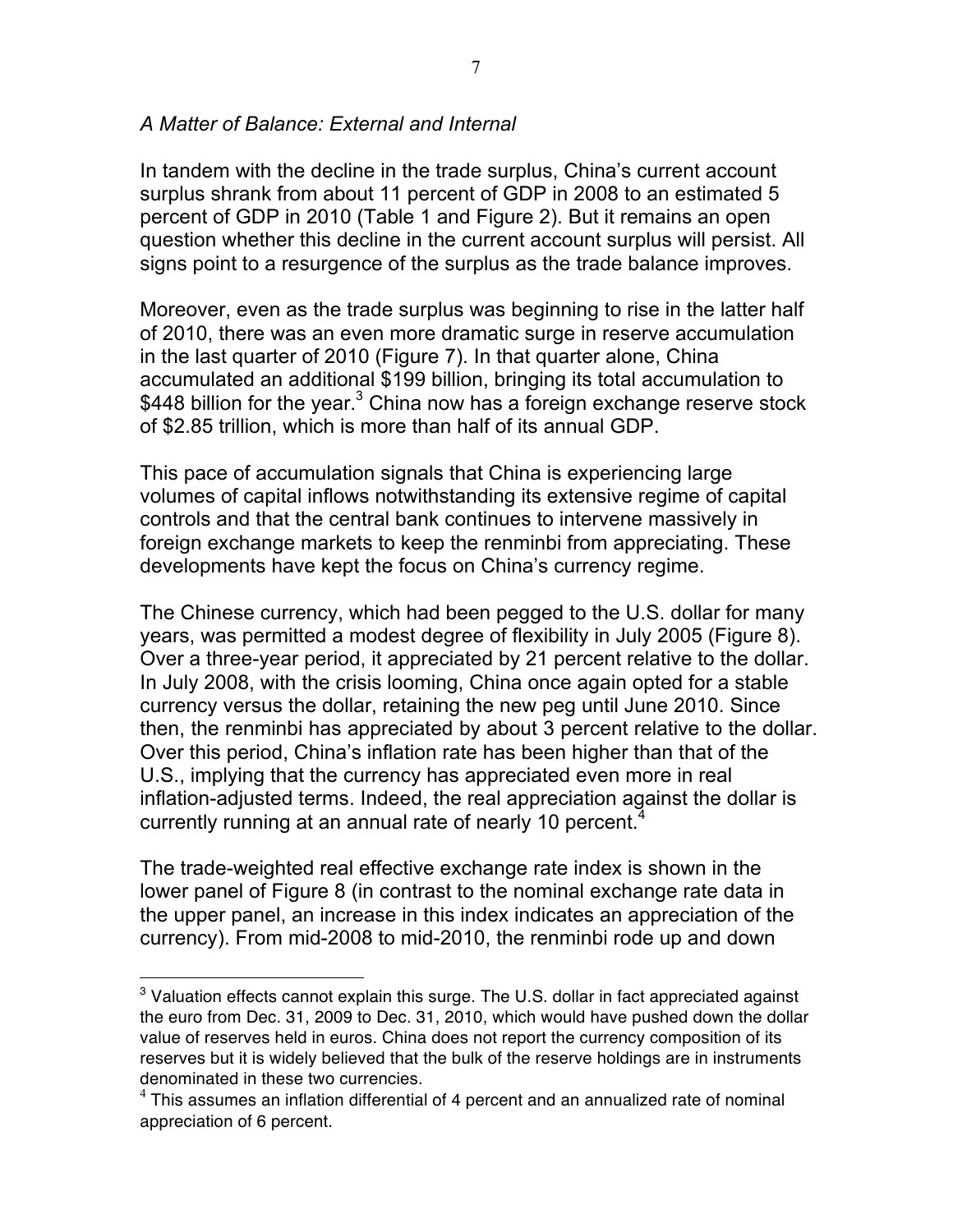#### *A Matter of Balance: External and Internal*

In tandem with the decline in the trade surplus, China's current account surplus shrank from about 11 percent of GDP in 2008 to an estimated 5 percent of GDP in 2010 (Table 1 and Figure 2). But it remains an open question whether this decline in the current account surplus will persist. All signs point to a resurgence of the surplus as the trade balance improves.

Moreover, even as the trade surplus was beginning to rise in the latter half of 2010, there was an even more dramatic surge in reserve accumulation in the last quarter of 2010 (Figure 7). In that quarter alone, China accumulated an additional \$199 billion, bringing its total accumulation to \$448 billion for the year.<sup>3</sup> China now has a foreign exchange reserve stock of \$2.85 trillion, which is more than half of its annual GDP.

This pace of accumulation signals that China is experiencing large volumes of capital inflows notwithstanding its extensive regime of capital controls and that the central bank continues to intervene massively in foreign exchange markets to keep the renminbi from appreciating. These developments have kept the focus on China's currency regime.

The Chinese currency, which had been pegged to the U.S. dollar for many years, was permitted a modest degree of flexibility in July 2005 (Figure 8). Over a three-year period, it appreciated by 21 percent relative to the dollar. In July 2008, with the crisis looming, China once again opted for a stable currency versus the dollar, retaining the new peg until June 2010. Since then, the renminbi has appreciated by about 3 percent relative to the dollar. Over this period, China's inflation rate has been higher than that of the U.S., implying that the currency has appreciated even more in real inflation-adjusted terms. Indeed, the real appreciation against the dollar is currently running at an annual rate of nearly 10 percent. $4$ 

The trade-weighted real effective exchange rate index is shown in the lower panel of Figure 8 (in contrast to the nominal exchange rate data in the upper panel, an increase in this index indicates an appreciation of the currency). From mid-2008 to mid-2010, the renminbi rode up and down

 $\overline{a}$ 

<sup>&</sup>lt;sup>3</sup> Valuation effects cannot explain this surge. The U.S. dollar in fact appreciated against the euro from Dec. 31, 2009 to Dec. 31, 2010, which would have pushed down the dollar value of reserves held in euros. China does not report the currency composition of its reserves but it is widely believed that the bulk of the reserve holdings are in instruments denominated in these two currencies.

 $4$  This assumes an inflation differential of 4 percent and an annualized rate of nominal appreciation of 6 percent.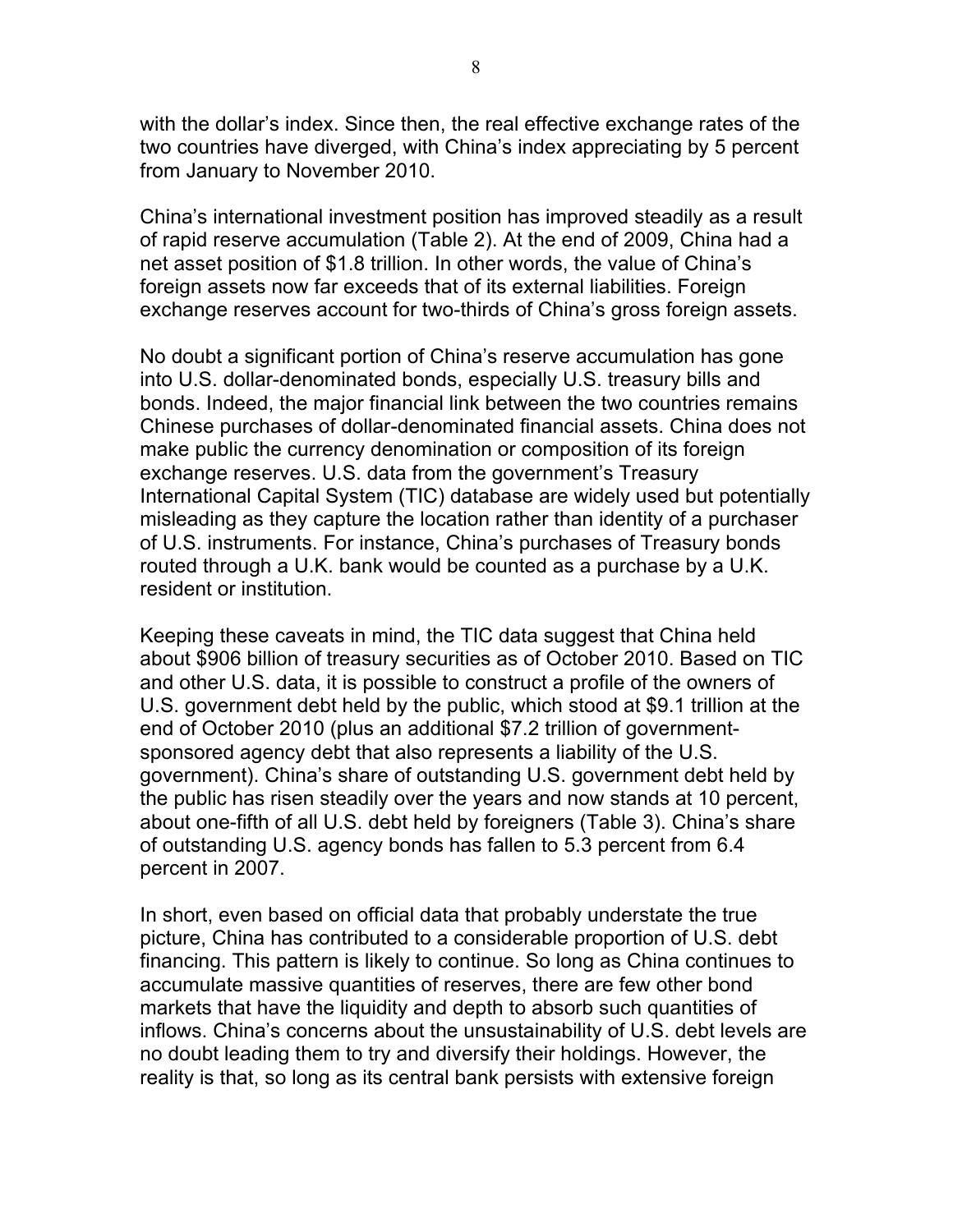with the dollar's index. Since then, the real effective exchange rates of the two countries have diverged, with China's index appreciating by 5 percent from January to November 2010.

China's international investment position has improved steadily as a result of rapid reserve accumulation (Table 2). At the end of 2009, China had a net asset position of \$1.8 trillion. In other words, the value of China's foreign assets now far exceeds that of its external liabilities. Foreign exchange reserves account for two-thirds of China's gross foreign assets.

No doubt a significant portion of China's reserve accumulation has gone into U.S. dollar-denominated bonds, especially U.S. treasury bills and bonds. Indeed, the major financial link between the two countries remains Chinese purchases of dollar-denominated financial assets. China does not make public the currency denomination or composition of its foreign exchange reserves. U.S. data from the government's Treasury International Capital System (TIC) database are widely used but potentially misleading as they capture the location rather than identity of a purchaser of U.S. instruments. For instance, China's purchases of Treasury bonds routed through a U.K. bank would be counted as a purchase by a U.K. resident or institution.

Keeping these caveats in mind, the TIC data suggest that China held about \$906 billion of treasury securities as of October 2010. Based on TIC and other U.S. data, it is possible to construct a profile of the owners of U.S. government debt held by the public, which stood at \$9.1 trillion at the end of October 2010 (plus an additional \$7.2 trillion of governmentsponsored agency debt that also represents a liability of the U.S. government). China's share of outstanding U.S. government debt held by the public has risen steadily over the years and now stands at 10 percent, about one-fifth of all U.S. debt held by foreigners (Table 3). China's share of outstanding U.S. agency bonds has fallen to 5.3 percent from 6.4 percent in 2007.

In short, even based on official data that probably understate the true picture, China has contributed to a considerable proportion of U.S. debt financing. This pattern is likely to continue. So long as China continues to accumulate massive quantities of reserves, there are few other bond markets that have the liquidity and depth to absorb such quantities of inflows. China's concerns about the unsustainability of U.S. debt levels are no doubt leading them to try and diversify their holdings. However, the reality is that, so long as its central bank persists with extensive foreign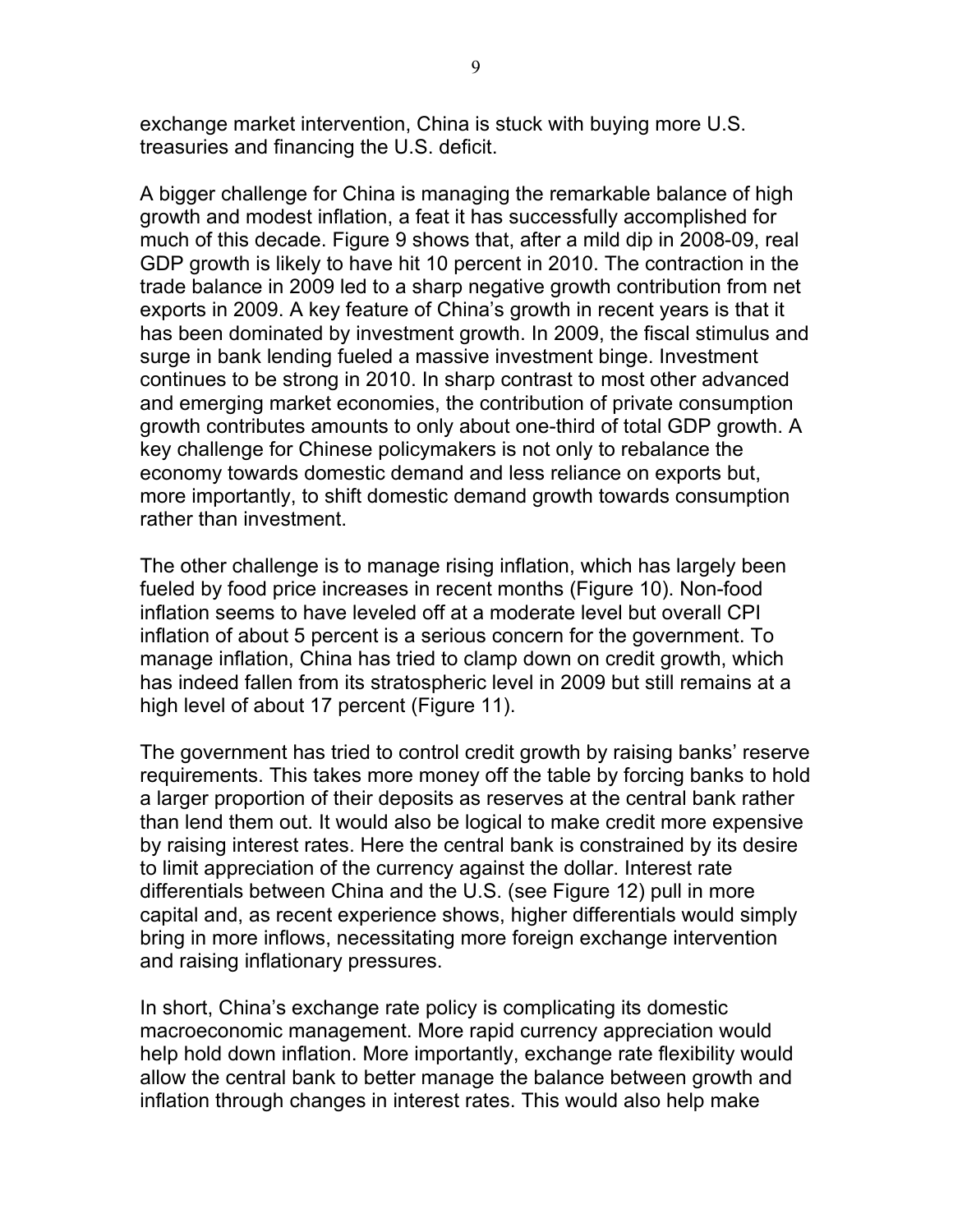exchange market intervention, China is stuck with buying more U.S. treasuries and financing the U.S. deficit.

A bigger challenge for China is managing the remarkable balance of high growth and modest inflation, a feat it has successfully accomplished for much of this decade. Figure 9 shows that, after a mild dip in 2008-09, real GDP growth is likely to have hit 10 percent in 2010. The contraction in the trade balance in 2009 led to a sharp negative growth contribution from net exports in 2009. A key feature of China's growth in recent years is that it has been dominated by investment growth. In 2009, the fiscal stimulus and surge in bank lending fueled a massive investment binge. Investment continues to be strong in 2010. In sharp contrast to most other advanced and emerging market economies, the contribution of private consumption growth contributes amounts to only about one-third of total GDP growth. A key challenge for Chinese policymakers is not only to rebalance the economy towards domestic demand and less reliance on exports but, more importantly, to shift domestic demand growth towards consumption rather than investment.

The other challenge is to manage rising inflation, which has largely been fueled by food price increases in recent months (Figure 10). Non-food inflation seems to have leveled off at a moderate level but overall CPI inflation of about 5 percent is a serious concern for the government. To manage inflation, China has tried to clamp down on credit growth, which has indeed fallen from its stratospheric level in 2009 but still remains at a high level of about 17 percent (Figure 11).

The government has tried to control credit growth by raising banks' reserve requirements. This takes more money off the table by forcing banks to hold a larger proportion of their deposits as reserves at the central bank rather than lend them out. It would also be logical to make credit more expensive by raising interest rates. Here the central bank is constrained by its desire to limit appreciation of the currency against the dollar. Interest rate differentials between China and the U.S. (see Figure 12) pull in more capital and, as recent experience shows, higher differentials would simply bring in more inflows, necessitating more foreign exchange intervention and raising inflationary pressures.

In short, China's exchange rate policy is complicating its domestic macroeconomic management. More rapid currency appreciation would help hold down inflation. More importantly, exchange rate flexibility would allow the central bank to better manage the balance between growth and inflation through changes in interest rates. This would also help make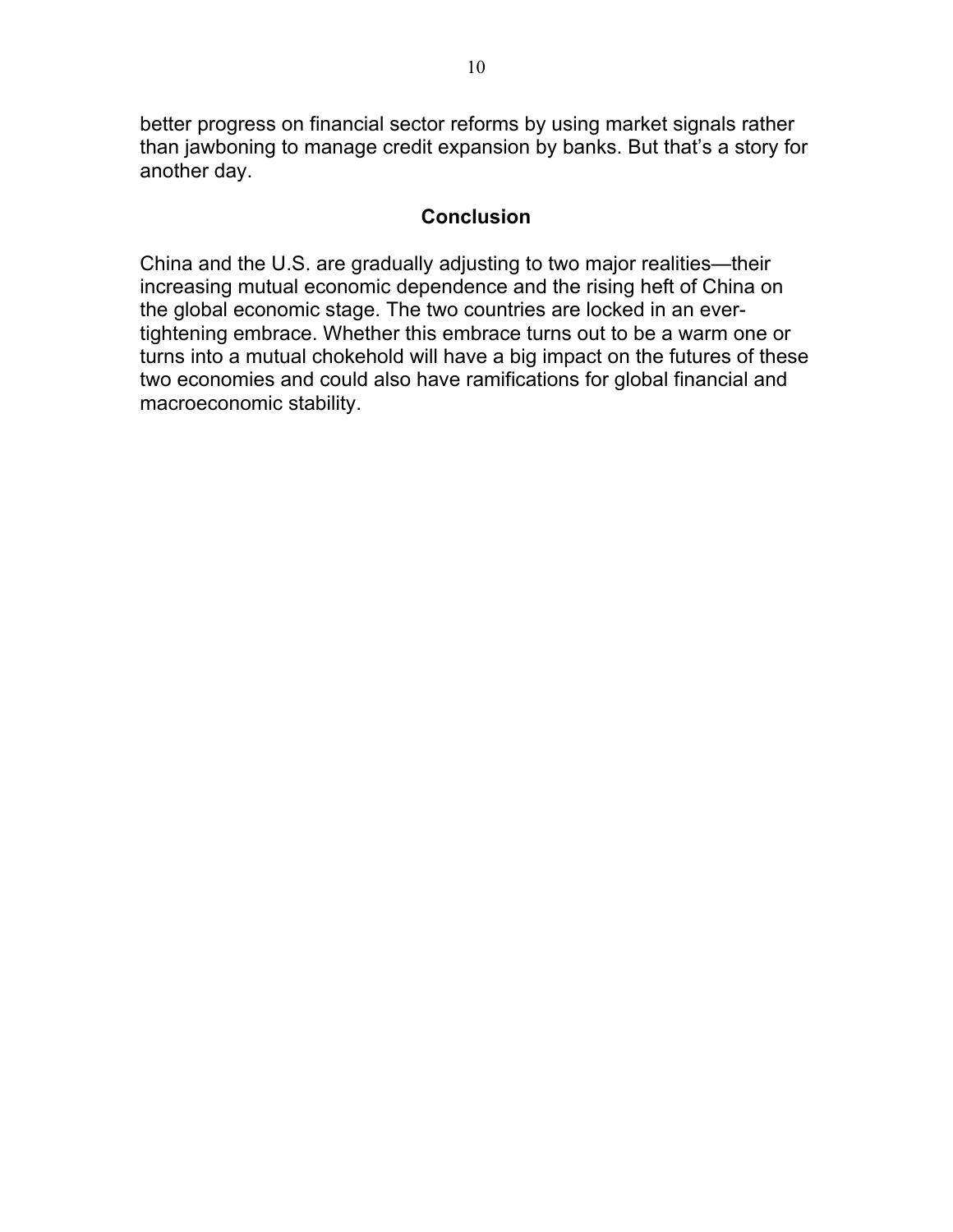better progress on financial sector reforms by using market signals rather than jawboning to manage credit expansion by banks. But that's a story for another day.

#### **Conclusion**

China and the U.S. are gradually adjusting to two major realities—their increasing mutual economic dependence and the rising heft of China on the global economic stage. The two countries are locked in an evertightening embrace. Whether this embrace turns out to be a warm one or turns into a mutual chokehold will have a big impact on the futures of these two economies and could also have ramifications for global financial and macroeconomic stability.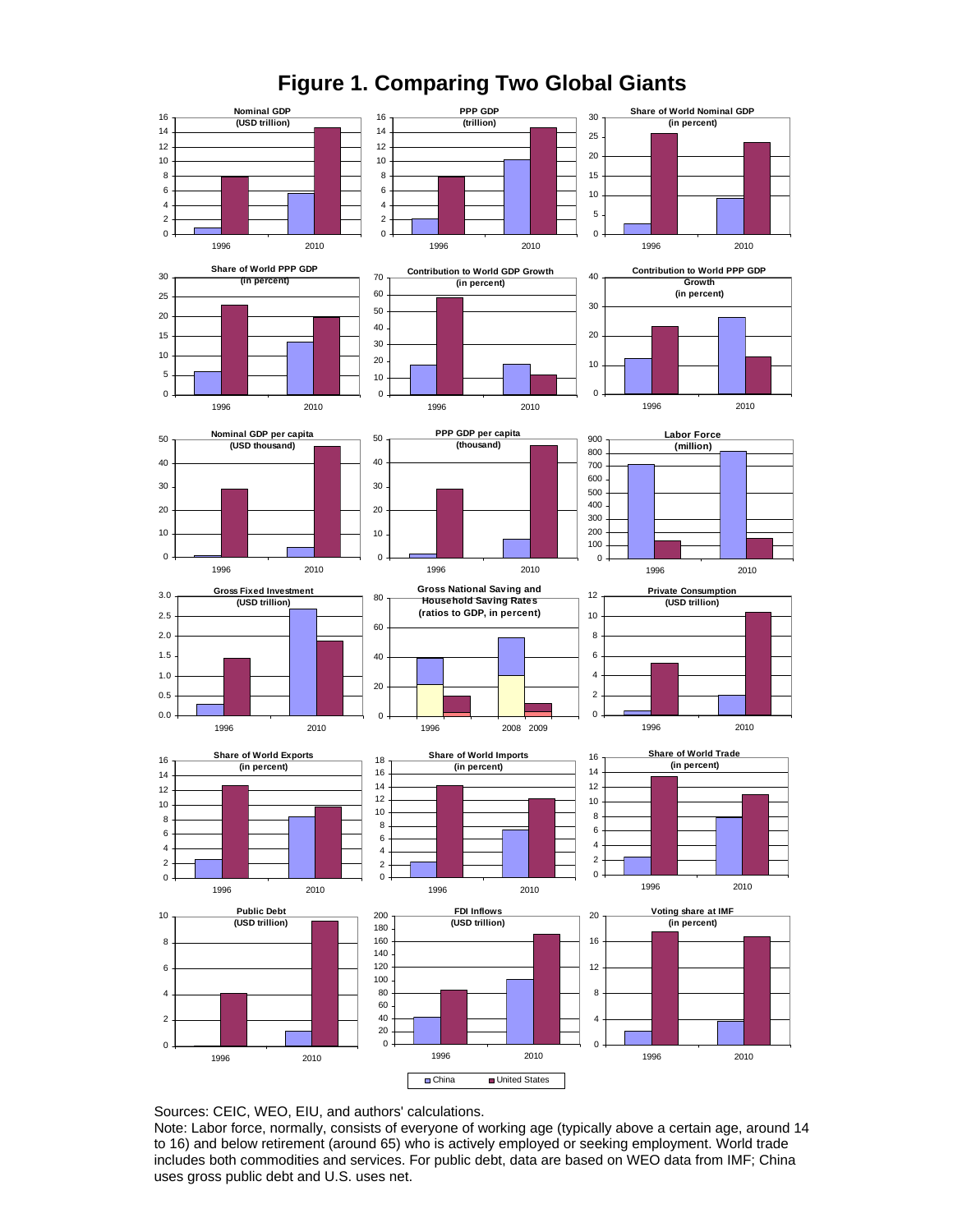

**Figure 1. Comparing Two Global Giants** 

Sources: CEIC, WEO, EIU, and authors' calculations.

Note: Labor force, normally, consists of everyone of working age (typically above a certain age, around 14 to 16) and below retirement (around 65) who is actively employed or seeking employment. World trade includes both commodities and services. For public debt, data are based on WEO data from IMF; China uses gross public debt and U.S. uses net.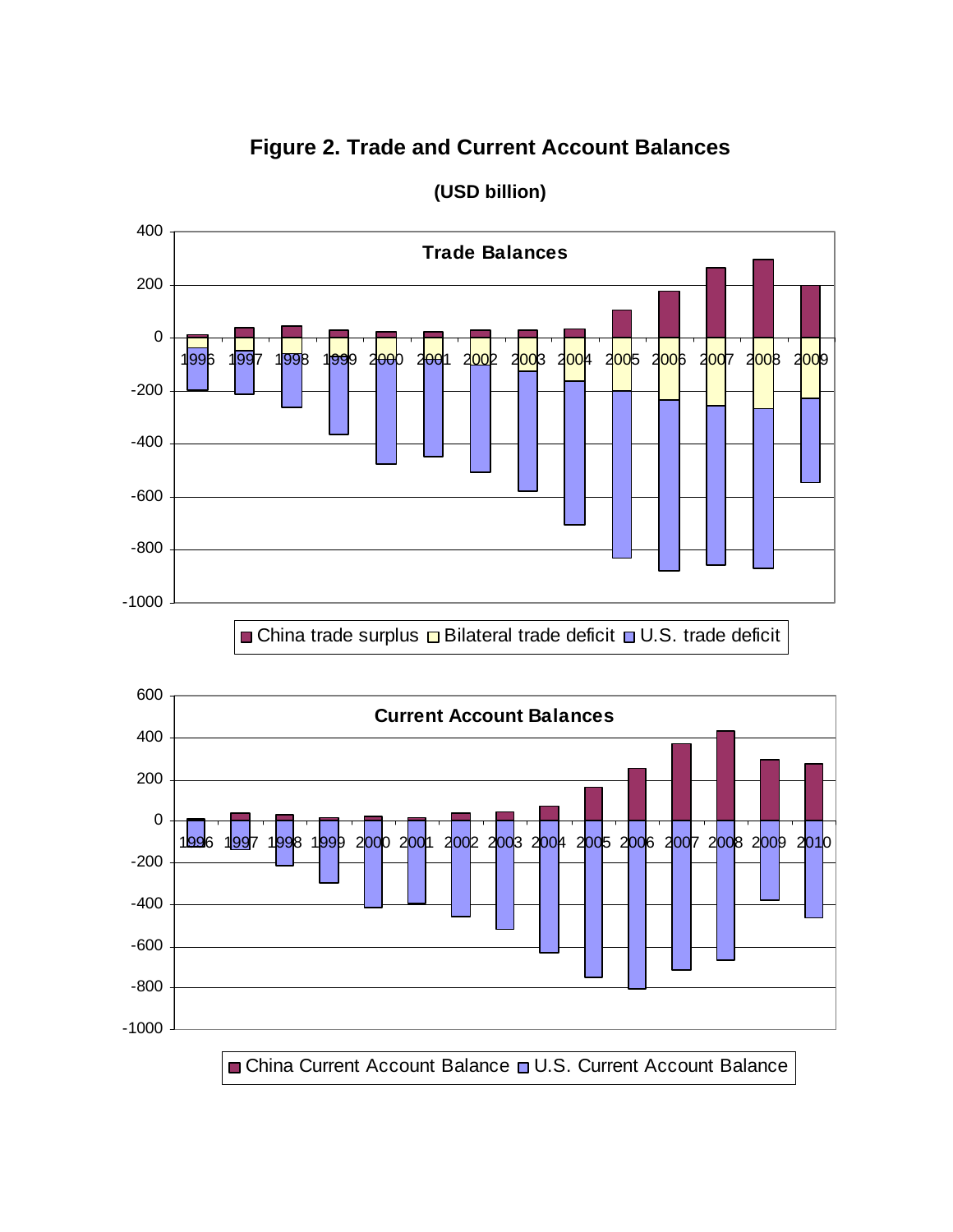# **Tra de Balances** -1000 -800 -600 -400 -200 0 200 400 1<mark>99</mark>6 1<mark>99</mark>7 1<mark>99</mark>8 1<mark>99</mark>9 2<del>00</del>0 200</mark>1 2<mark>00</mark>2 2003 2004 2005 2006 2007 2008 2009 China trade surplus  $\Box$  Bilateral trade deficit  $\Box$  U.S. trade deficit

## **Figure 2. Trade and Current Account Balances**



#### **(USD billion)**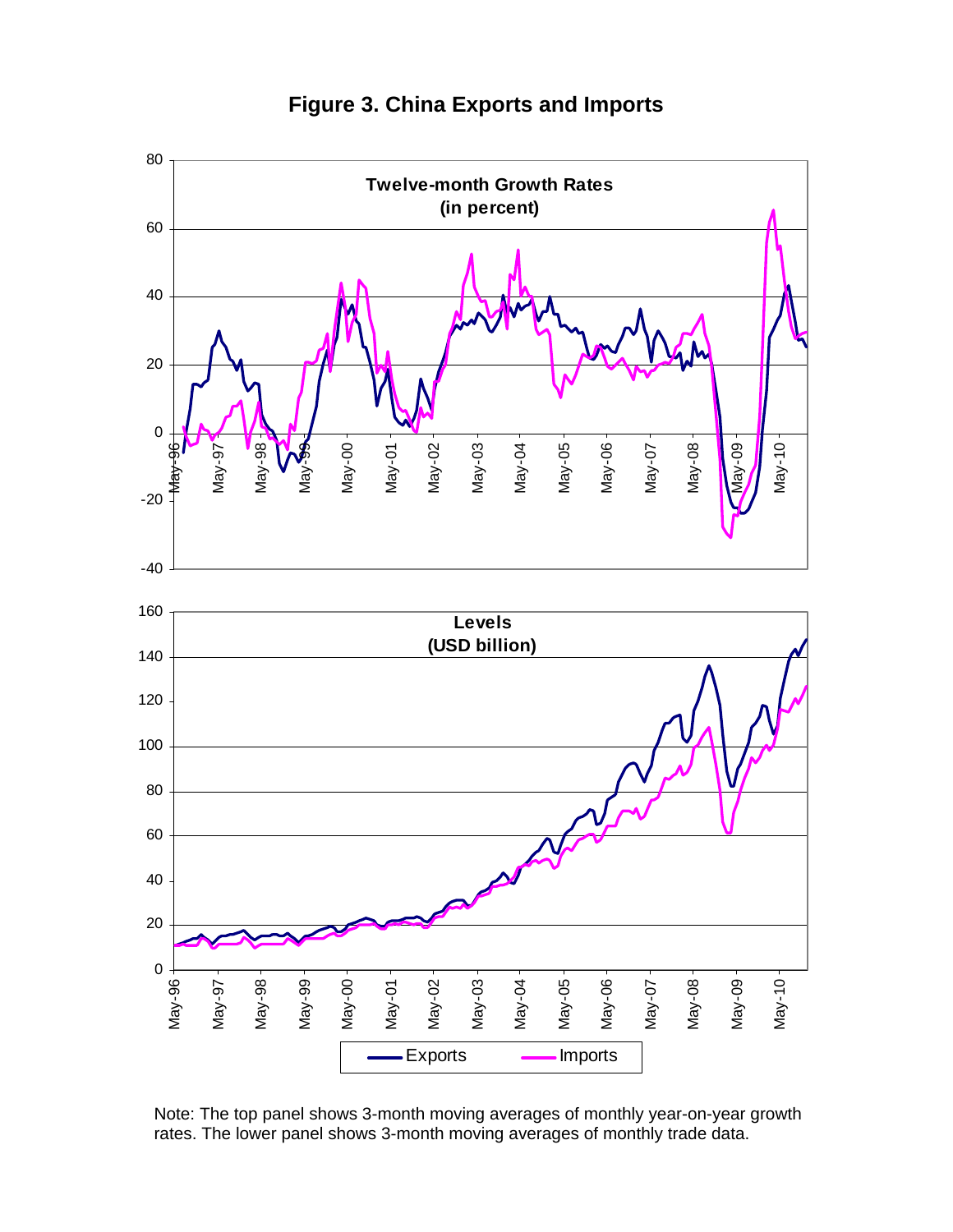

**Figure 3. China Exports and Imports** 

Note: The top panel shows 3-month moving averages of monthly year-on-year growth rates. The lower panel shows 3-month moving averages of monthly trade data.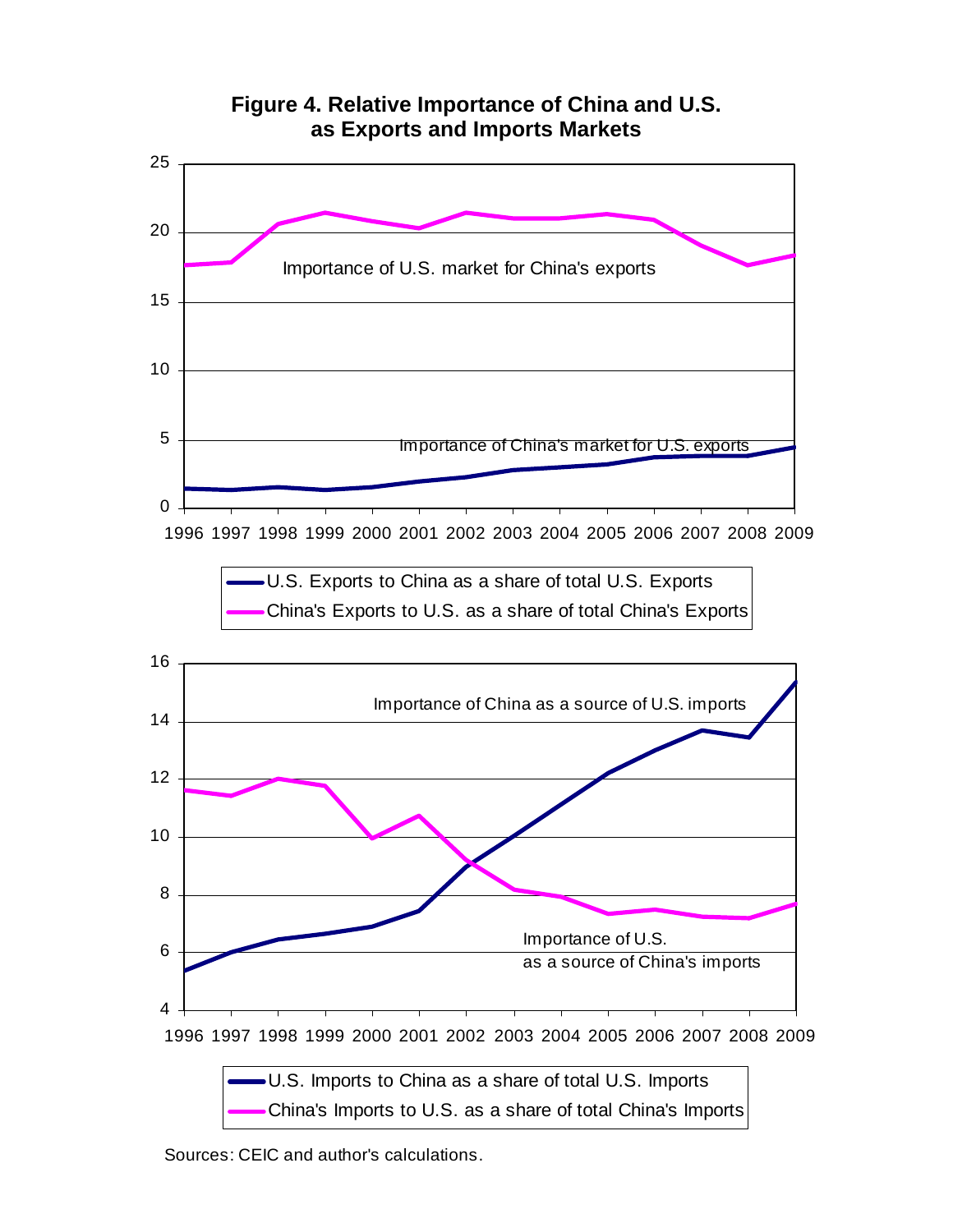

Sources: CEIC and author's calculations.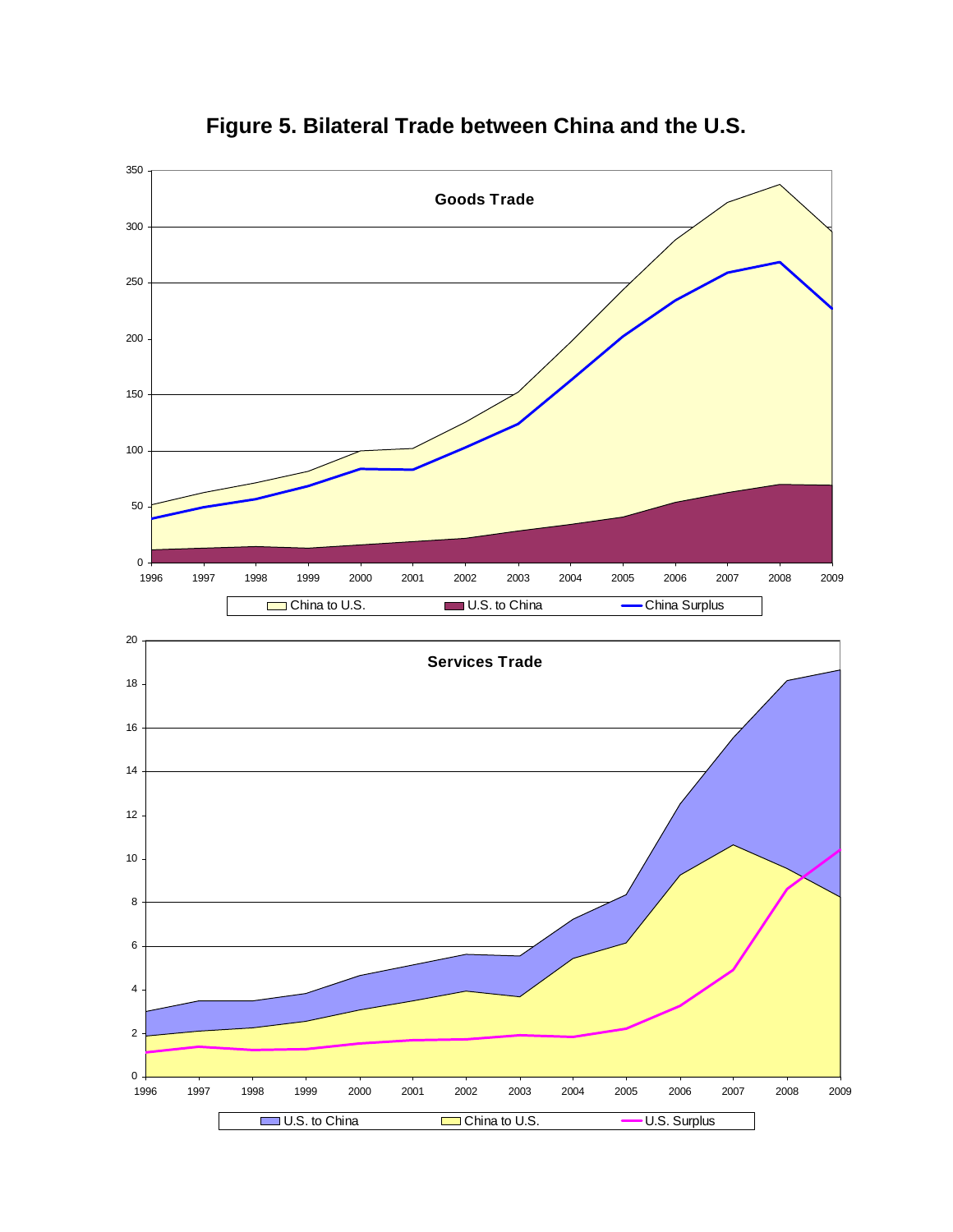



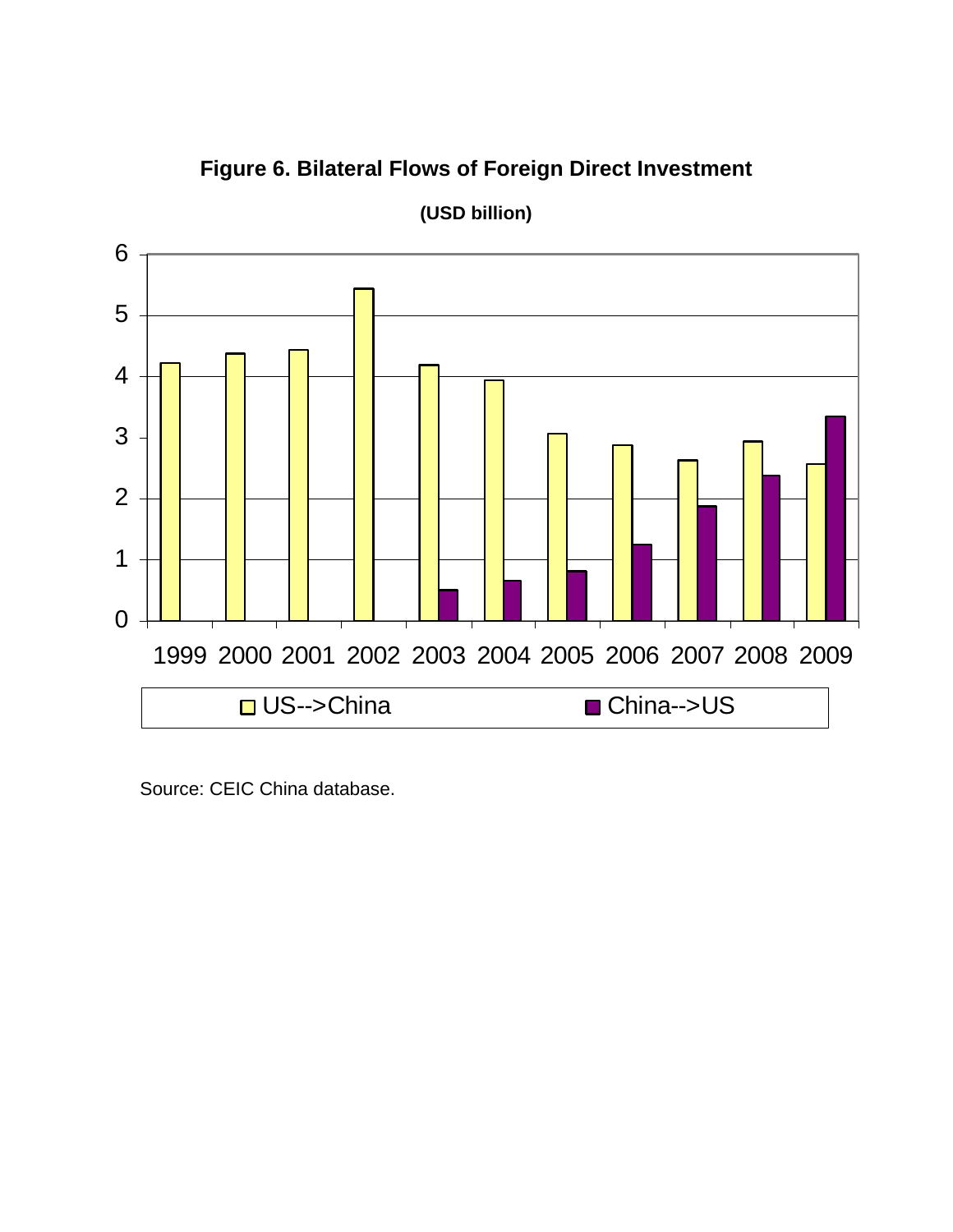**Figure 6. Bilateral Flows of Foreign Direct Investment** 



**(USD billion)** 

Source: CEIC China database.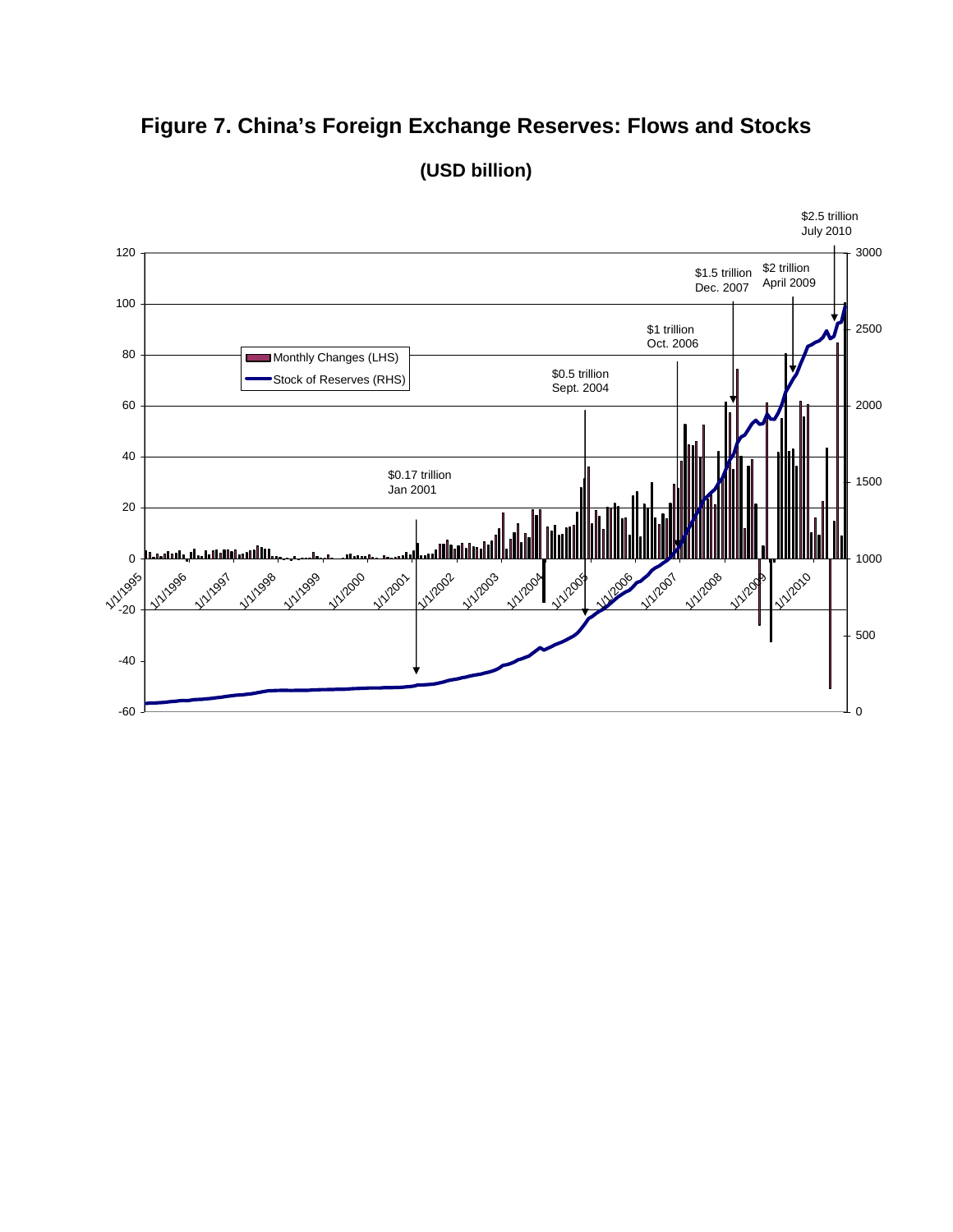# **Figure 7. China's Foreign Exchange Reserves: Flows and Stocks**



**(USD billion)**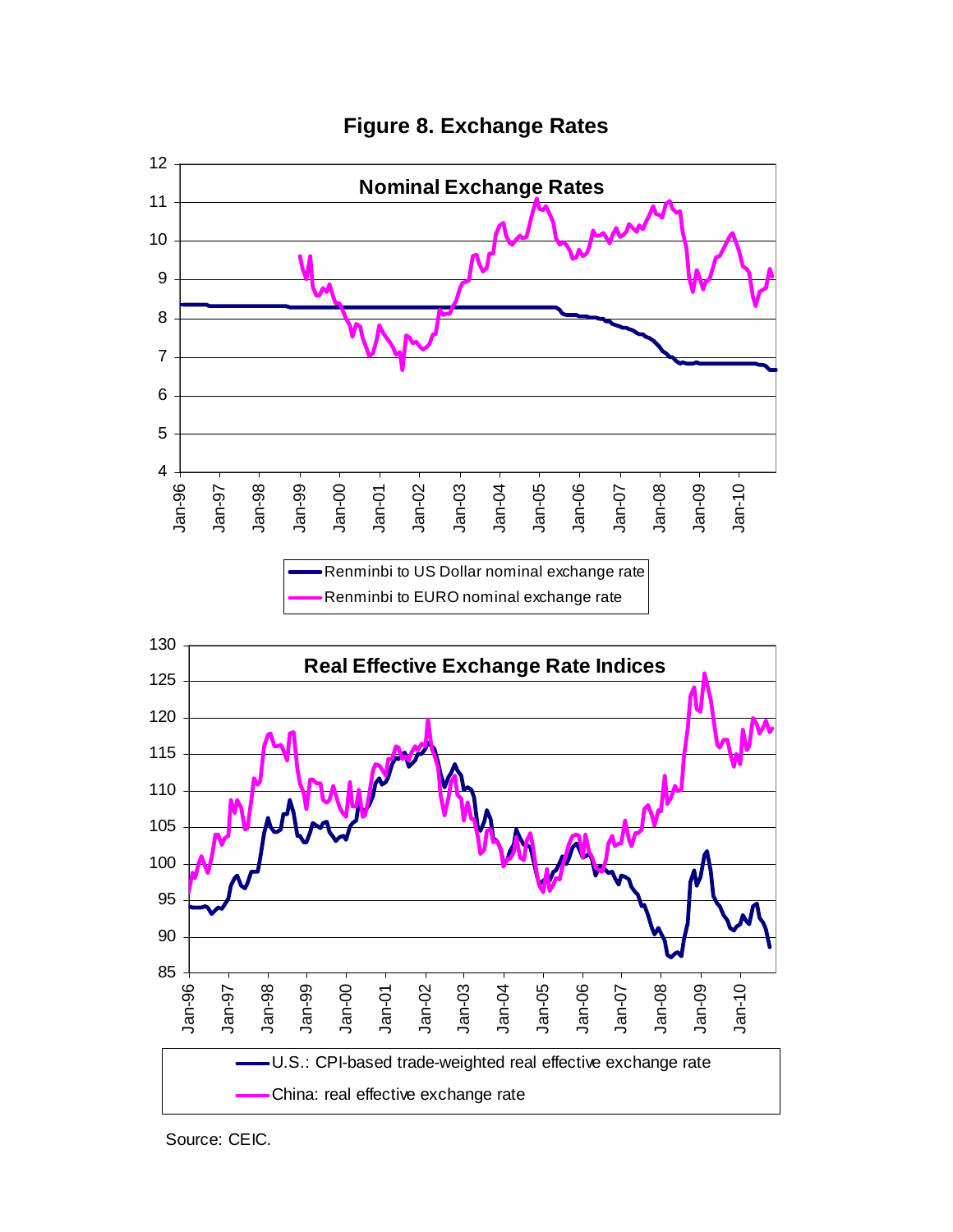

**Figure 8. Exchange Rates** 

Source: CEIC.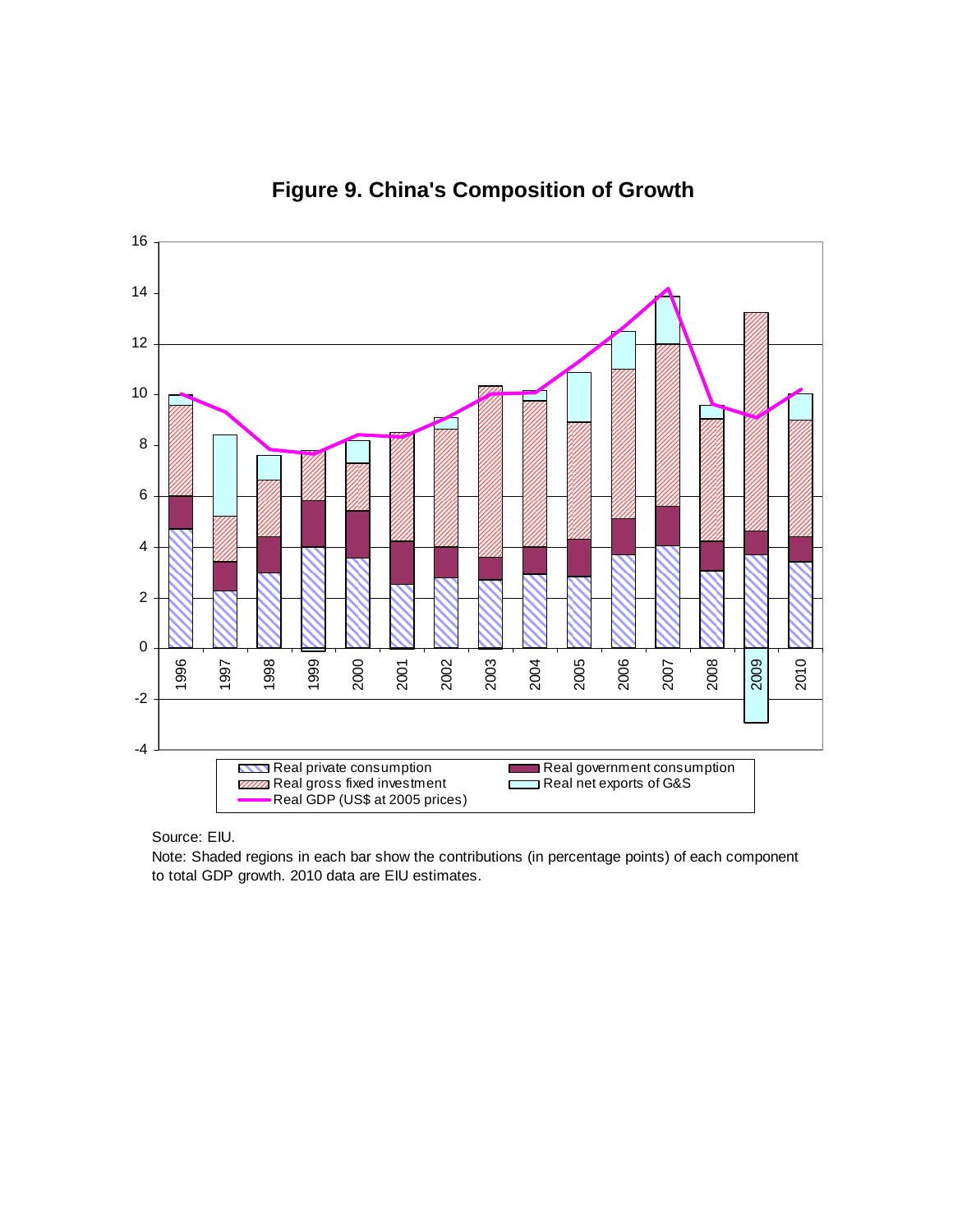

**Figure 9. China's Composition of Growth** 

Source: EIU.

Note: Shaded regions in each bar show the contributions (in percentage points) of each component to total GDP growth. 2010 data are EIU estimates.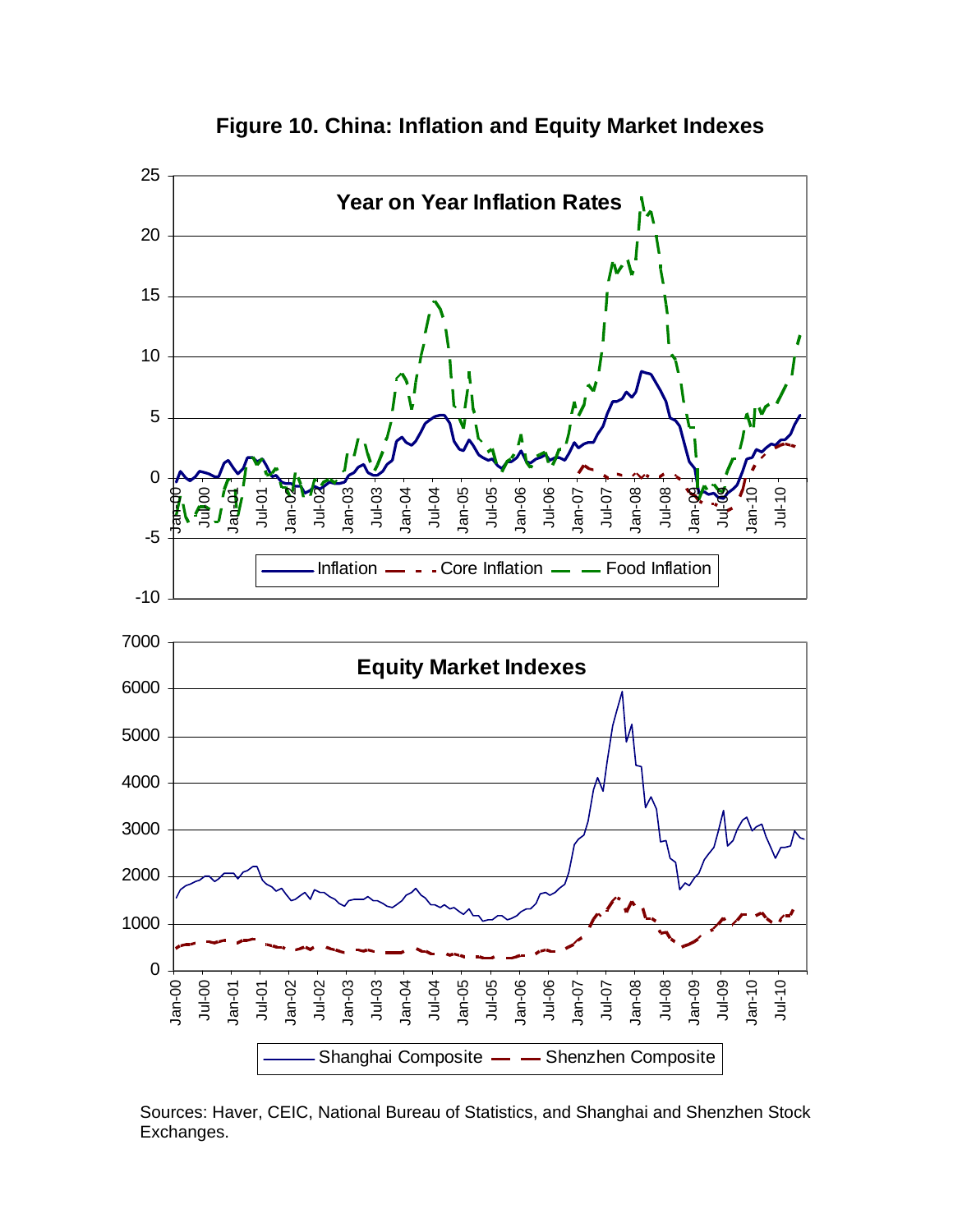

**Figure 10. China: Inflation and Equity Market Indexes** 

Sources: Haver, CEIC, National Bureau of Statistics, and Shanghai and Shenzhen Stock Exchanges.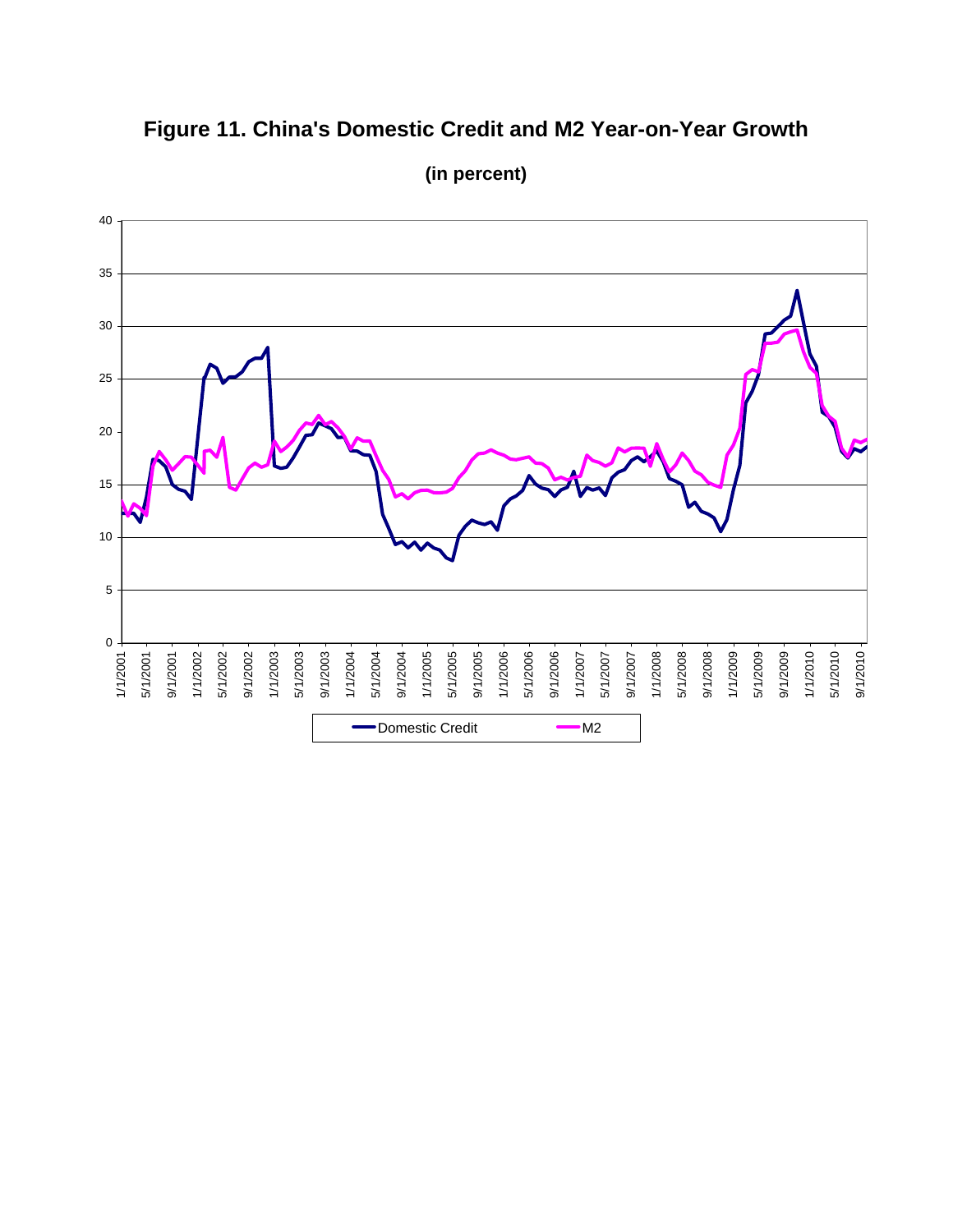# **Figure 11. China's Domestic Credit and M2 Year-on-Year Growth**



**(in percent)**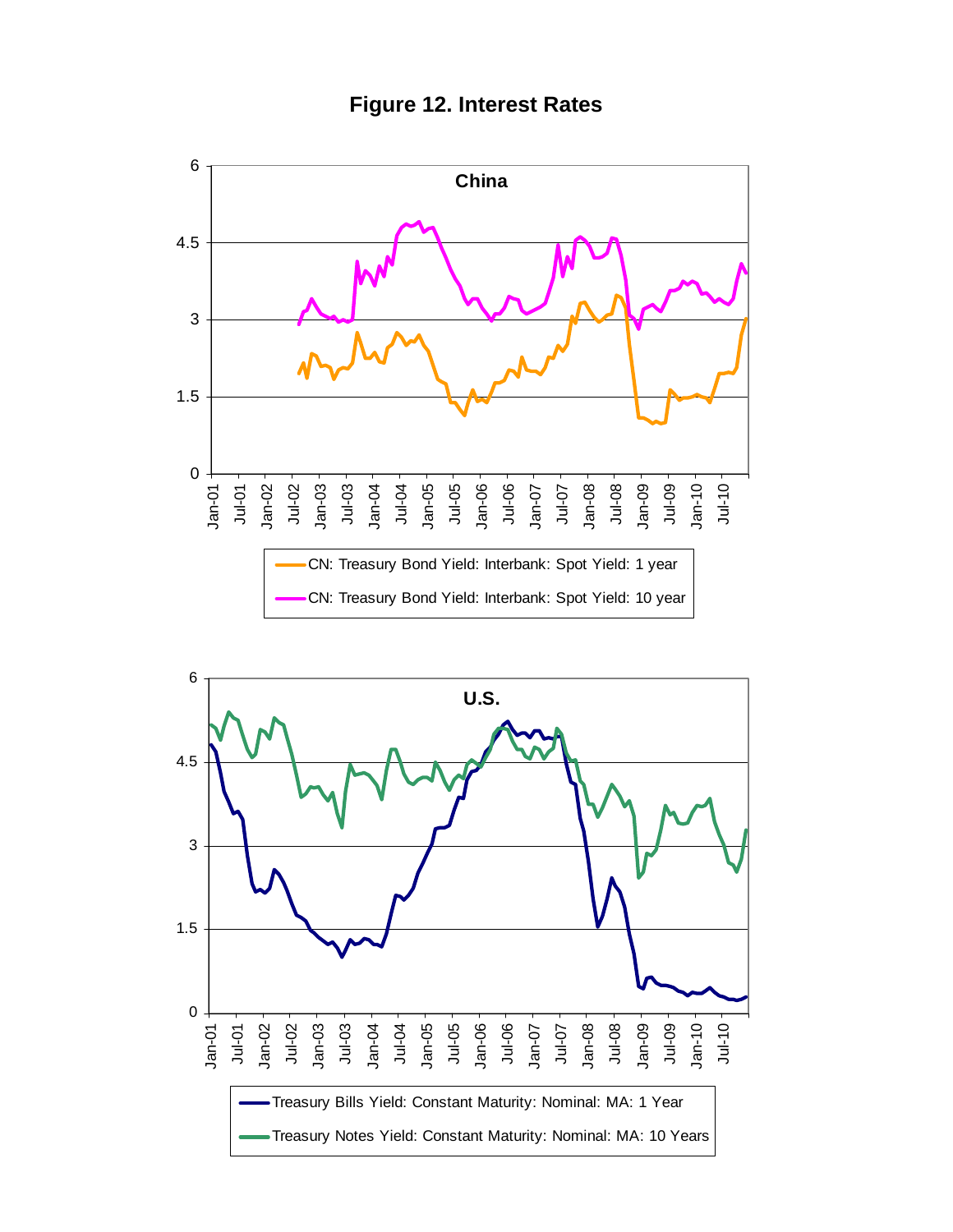



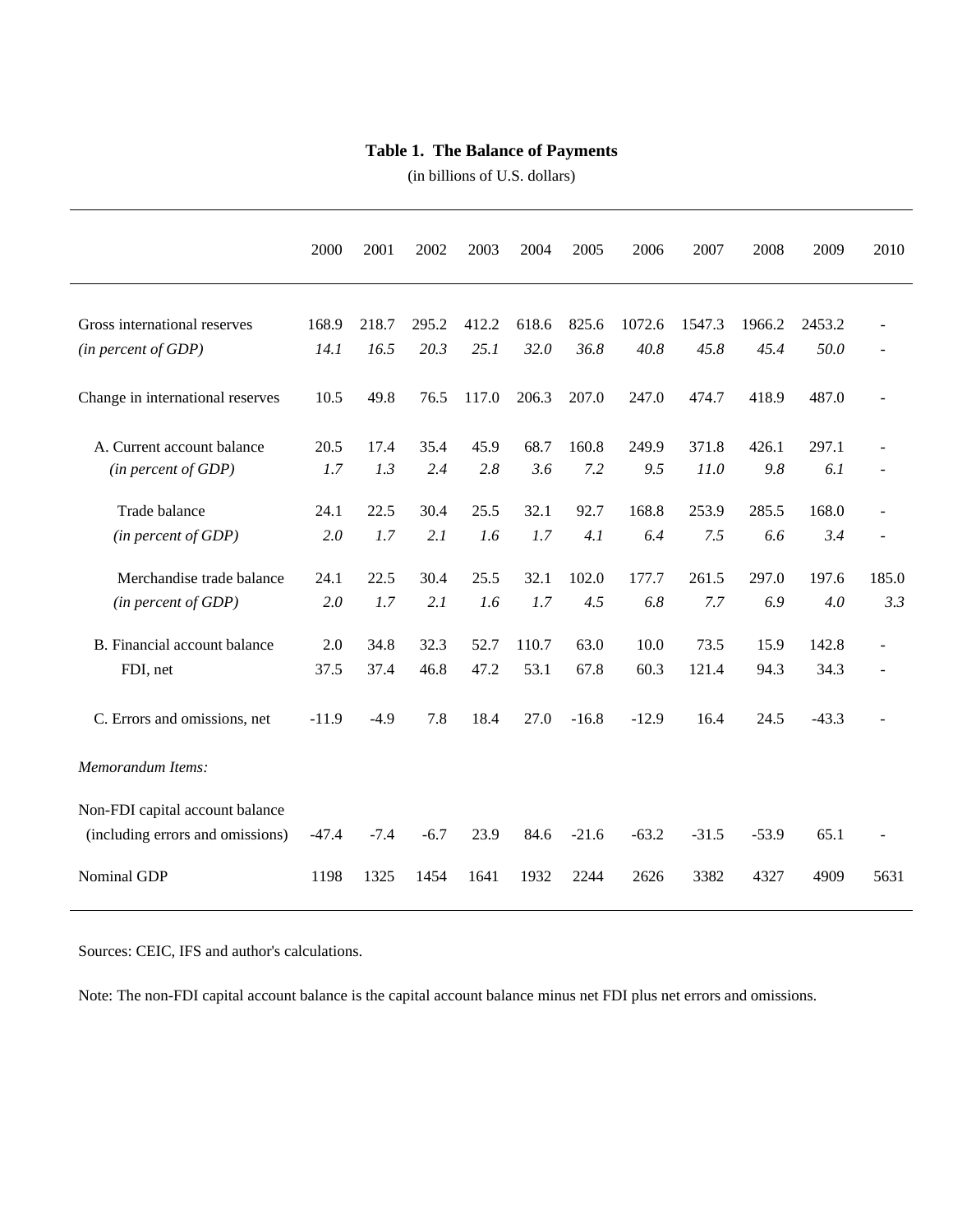#### **Table 1. The Balance of Payments**

(in billions of U.S. dollars)

|                                                                     | 2000    | 2001   | 2002   | 2003  | 2004  | 2005    | 2006    | 2007    | 2008    | 2009    | 2010                     |
|---------------------------------------------------------------------|---------|--------|--------|-------|-------|---------|---------|---------|---------|---------|--------------------------|
| Gross international reserves                                        | 168.9   | 218.7  | 295.2  | 412.2 | 618.6 | 825.6   | 1072.6  | 1547.3  | 1966.2  | 2453.2  |                          |
| (in percent of GDP)                                                 | 14.1    | 16.5   | 20.3   | 25.1  | 32.0  | 36.8    | 40.8    | 45.8    | 45.4    | 50.0    | $\overline{\phantom{a}}$ |
| Change in international reserves                                    | 10.5    | 49.8   | 76.5   | 117.0 | 206.3 | 207.0   | 247.0   | 474.7   | 418.9   | 487.0   | ÷,                       |
| A. Current account balance                                          | 20.5    | 17.4   | 35.4   | 45.9  | 68.7  | 160.8   | 249.9   | 371.8   | 426.1   | 297.1   | $\overline{a}$           |
| (in percent of GDP)                                                 | 1.7     | 1.3    | 2.4    | 2.8   | 3.6   | 7.2     | 9.5     | 11.0    | 9.8     | 6.1     |                          |
| Trade balance                                                       | 24.1    | 22.5   | 30.4   | 25.5  | 32.1  | 92.7    | 168.8   | 253.9   | 285.5   | 168.0   | $\overline{\phantom{a}}$ |
| (in percent of GDP)                                                 | 2.0     | 1.7    | 2.1    | 1.6   | 1.7   | 4.1     | 6.4     | 7.5     | 6.6     | 3.4     | $\overline{a}$           |
| Merchandise trade balance                                           | 24.1    | 22.5   | 30.4   | 25.5  | 32.1  | 102.0   | 177.7   | 261.5   | 297.0   | 197.6   | 185.0                    |
| (in percent of GDP)                                                 | 2.0     | 1.7    | 2.1    | 1.6   | 1.7   | 4.5     | 6.8     | 7.7     | 6.9     | 4.0     | 3.3                      |
| B. Financial account balance                                        | 2.0     | 34.8   | 32.3   | 52.7  | 110.7 | 63.0    | 10.0    | 73.5    | 15.9    | 142.8   | $\overline{\phantom{a}}$ |
| FDI, net                                                            | 37.5    | 37.4   | 46.8   | 47.2  | 53.1  | 67.8    | 60.3    | 121.4   | 94.3    | 34.3    | $\blacksquare$           |
| C. Errors and omissions, net                                        | $-11.9$ | $-4.9$ | 7.8    | 18.4  | 27.0  | $-16.8$ | $-12.9$ | 16.4    | 24.5    | $-43.3$ |                          |
| Memorandum Items:                                                   |         |        |        |       |       |         |         |         |         |         |                          |
| Non-FDI capital account balance<br>(including errors and omissions) | $-47.4$ | $-7.4$ | $-6.7$ | 23.9  | 84.6  | $-21.6$ | $-63.2$ | $-31.5$ | $-53.9$ | 65.1    |                          |
| Nominal GDP                                                         | 1198    | 1325   | 1454   | 1641  | 1932  | 2244    | 2626    | 3382    | 4327    | 4909    | 5631                     |

Sources: CEIC, IFS and author's calculations.

Note: The non-FDI capital account balance is the capital account balance minus net FDI plus net errors and omissions.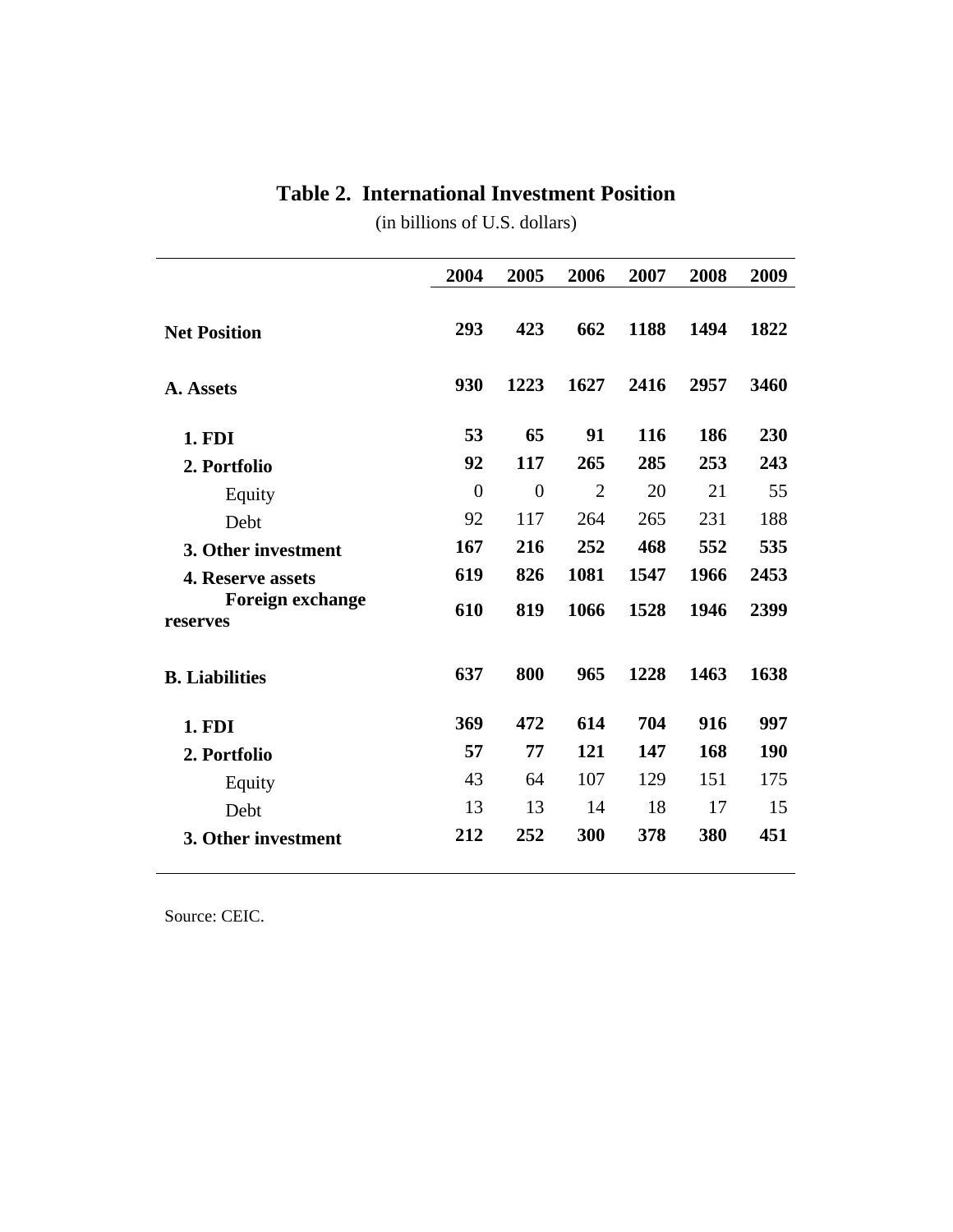### **Table 2. International Investment Position**

(in billions of U.S. dollars)

|                                     | 2004           | 2005           | 2006           | 2007 | 2008 | 2009 |
|-------------------------------------|----------------|----------------|----------------|------|------|------|
| <b>Net Position</b>                 | 293            | 423            | 662            | 1188 | 1494 | 1822 |
| A. Assets                           | 930            | 1223           | 1627           | 2416 | 2957 | 3460 |
| 1. FDI                              | 53             | 65             | 91             | 116  | 186  | 230  |
| 2. Portfolio                        | 92             | 117            | 265            | 285  | 253  | 243  |
| Equity                              | $\overline{0}$ | $\overline{0}$ | $\overline{2}$ | 20   | 21   | 55   |
| Debt                                | 92             | 117            | 264            | 265  | 231  | 188  |
| 3. Other investment                 | 167            | 216            | 252            | 468  | 552  | 535  |
| 4. Reserve assets                   | 619            | 826            | 1081           | 1547 | 1966 | 2453 |
| <b>Foreign exchange</b><br>reserves | 610            | 819            | 1066           | 1528 | 1946 | 2399 |
| <b>B.</b> Liabilities               | 637            | 800            | 965            | 1228 | 1463 | 1638 |
| 1. FDI                              | 369            | 472            | 614            | 704  | 916  | 997  |
| 2. Portfolio                        | 57             | 77             | 121            | 147  | 168  | 190  |
| Equity                              | 43             | 64             | 107            | 129  | 151  | 175  |
| Debt                                | 13             | 13             | 14             | 18   | 17   | 15   |
| 3. Other investment                 | 212            | 252            | 300            | 378  | 380  | 451  |

Source: CEIC.